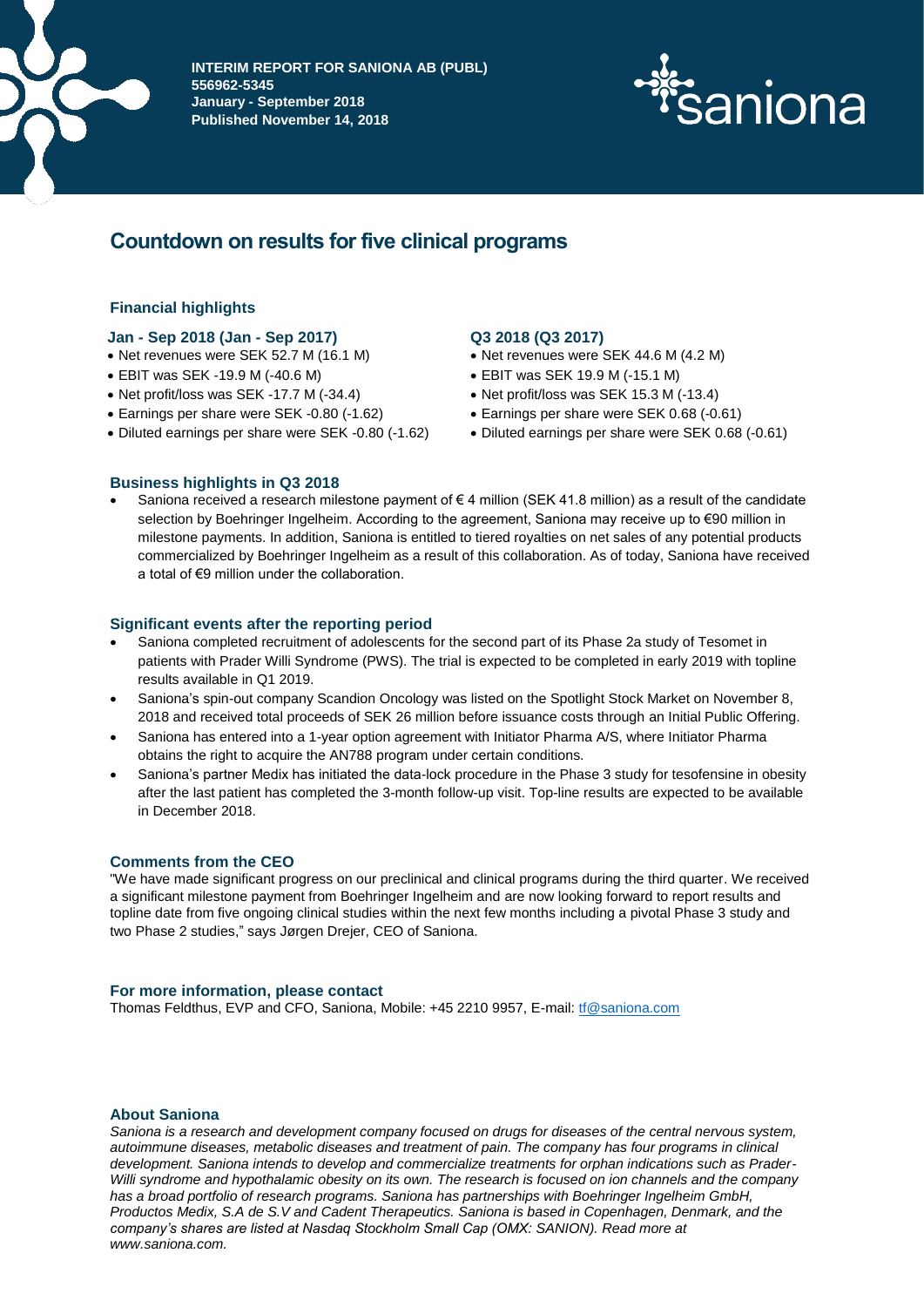

**INTERIM REPORT FOR SANIONA AB (PUBL) 556962-5345 January - September 2018 Published November 14, 2018**



# **Countdown on results for five clinical programs**

# **Financial highlights**

# **Jan - Sep 2018 (Jan - Sep 2017) Q3 2018 (Q3 2017)**

- Net revenues were SEK 52.7 M (16.1 M) Net revenues were SEK 44.6 M (4.2 M)
- EBIT was SEK -19.9 M (-40.6 M)
- Net profit/loss was SEK -17.7 M (-34.4)
- 
- 

- 
- EBIT was SEK 19.9 M (-15.1 M)
- Net profit/loss was SEK 15.3 M (-13.4)
- Earnings per share were SEK -0.80 (-1.62) Earnings per share were SEK 0.68 (-0.61)
- Diluted earnings per share were SEK -0.80 (-1.62) Diluted earnings per share were SEK 0.68 (-0.61)

# **Business highlights in Q3 2018**

• Saniona received a research milestone payment of € 4 million (SEK 41.8 million) as a result of the candidate selection by Boehringer Ingelheim. According to the agreement, Saniona may receive up to €90 million in milestone payments. In addition, Saniona is entitled to tiered royalties on net sales of any potential products commercialized by Boehringer Ingelheim as a result of this collaboration. As of today, Saniona have received a total of €9 million under the collaboration.

#### **Significant events after the reporting period**

- Saniona completed recruitment of adolescents for the second part of its Phase 2a study of Tesomet in patients with Prader Willi Syndrome (PWS). The trial is expected to be completed in early 2019 with topline results available in Q1 2019.
- Saniona's spin-out company Scandion Oncology was listed on the Spotlight Stock Market on November 8, 2018 and received total proceeds of SEK 26 million before issuance costs through an Initial Public Offering.
- Saniona has entered into a 1-year option agreement with Initiator Pharma A/S, where Initiator Pharma obtains the right to acquire the AN788 program under certain conditions.
- Saniona's partner Medix has initiated the data-lock procedure in the Phase 3 study for tesofensine in obesity after the last patient has completed the 3-month follow-up visit. Top-line results are expected to be available in December 2018.

# **Comments from the CEO**

"We have made significant progress on our preclinical and clinical programs during the third quarter. We received a significant milestone payment from Boehringer Ingelheim and are now looking forward to report results and topline date from five ongoing clinical studies within the next few months including a pivotal Phase 3 study and two Phase 2 studies," says Jørgen Drejer, CEO of Saniona.

#### **For more information, please contact**

Thomas Feldthus, EVP and CFO, Saniona, Mobile: +45 2210 9957, E-mail: [tf@saniona.com](mailto:tf@saniona.com)

# **About Saniona**

*Saniona is a research and development company focused on drugs for diseases of the central nervous system, autoimmune diseases, metabolic diseases and treatment of pain. The company has four programs in clinical development. Saniona intends to develop and commercialize treatments for orphan indications such as Prader-Willi syndrome and hypothalamic obesity on its own. The research is focused on ion channels and the company has a broad portfolio of research programs. Saniona has partnerships with Boehringer Ingelheim GmbH, Productos Medix, S.A de S.V and Cadent Therapeutics. Saniona is based in Copenhagen, Denmark, and the company's shares are listed at Nasdaq Stockholm Small Cap (OMX: SANION). Read more at www.saniona.com.*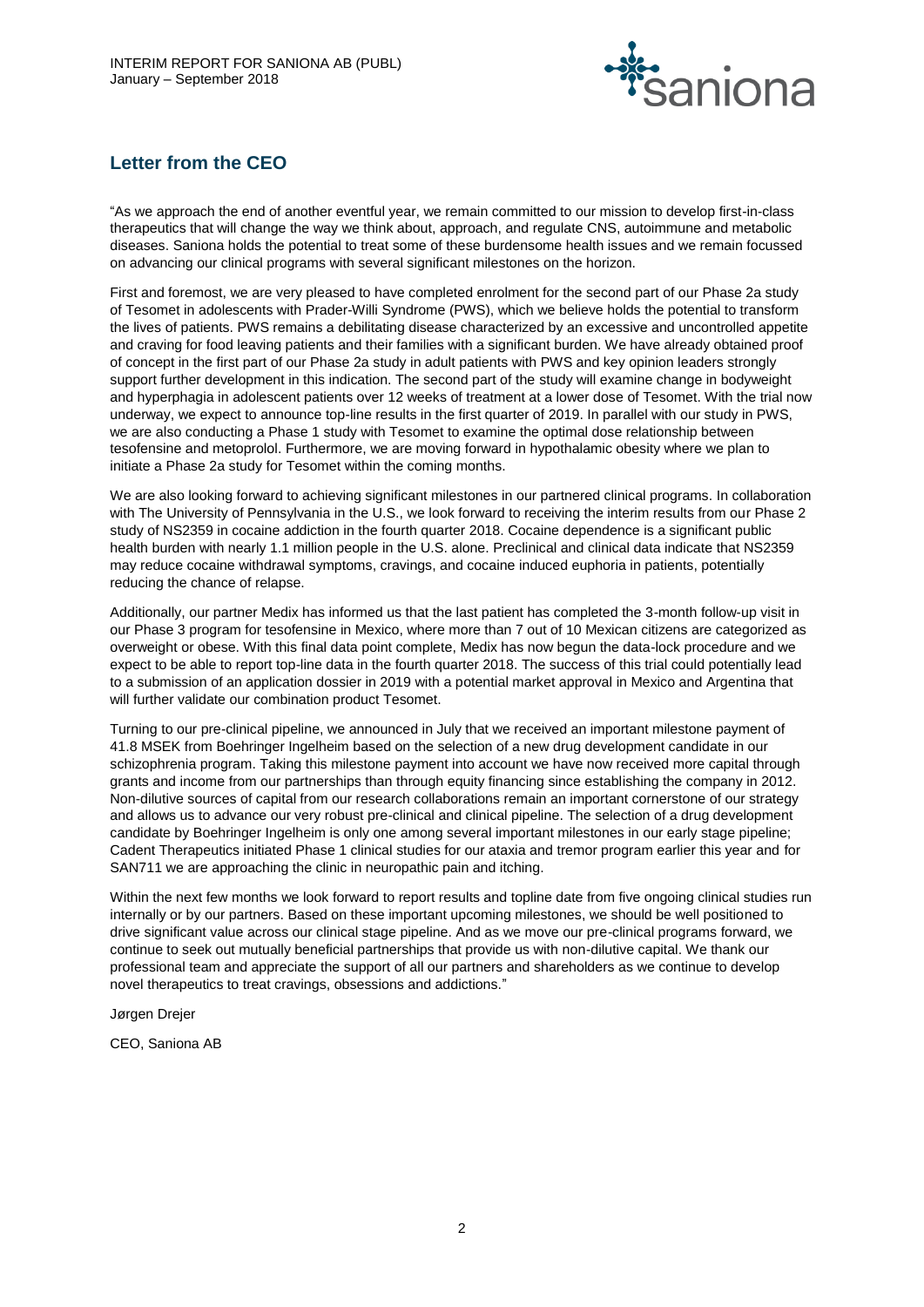

# **Letter from the CEO**

"As we approach the end of another eventful year, we remain committed to our mission to develop first-in-class therapeutics that will change the way we think about, approach, and regulate CNS, autoimmune and metabolic diseases. Saniona holds the potential to treat some of these burdensome health issues and we remain focussed on advancing our clinical programs with several significant milestones on the horizon.

First and foremost, we are very pleased to have completed enrolment for the second part of our Phase 2a study of Tesomet in adolescents with Prader-Willi Syndrome (PWS), which we believe holds the potential to transform the lives of patients. PWS remains a debilitating disease characterized by an excessive and uncontrolled appetite and craving for food leaving patients and their families with a significant burden. We have already obtained proof of concept in the first part of our Phase 2a study in adult patients with PWS and key opinion leaders strongly support further development in this indication. The second part of the study will examine change in bodyweight and hyperphagia in adolescent patients over 12 weeks of treatment at a lower dose of Tesomet. With the trial now underway, we expect to announce top-line results in the first quarter of 2019. In parallel with our study in PWS, we are also conducting a Phase 1 study with Tesomet to examine the optimal dose relationship between tesofensine and metoprolol. Furthermore, we are moving forward in hypothalamic obesity where we plan to initiate a Phase 2a study for Tesomet within the coming months.

We are also looking forward to achieving significant milestones in our partnered clinical programs. In collaboration with The University of Pennsylvania in the U.S., we look forward to receiving the interim results from our Phase 2 study of NS2359 in cocaine addiction in the fourth quarter 2018. Cocaine dependence is a significant public health burden with nearly 1.1 million people in the U.S. alone. Preclinical and clinical data indicate that NS2359 may reduce cocaine withdrawal symptoms, cravings, and cocaine induced euphoria in patients, potentially reducing the chance of relapse.

Additionally, our partner Medix has informed us that the last patient has completed the 3-month follow-up visit in our Phase 3 program for tesofensine in Mexico, where more than 7 out of 10 Mexican citizens are categorized as overweight or obese. With this final data point complete, Medix has now begun the data-lock procedure and we expect to be able to report top-line data in the fourth quarter 2018. The success of this trial could potentially lead to a submission of an application dossier in 2019 with a potential market approval in Mexico and Argentina that will further validate our combination product Tesomet.

Turning to our pre-clinical pipeline, we announced in July that we received an important milestone payment of 41.8 MSEK from Boehringer Ingelheim based on the selection of a new drug development candidate in our schizophrenia program. Taking this milestone payment into account we have now received more capital through grants and income from our partnerships than through equity financing since establishing the company in 2012. Non-dilutive sources of capital from our research collaborations remain an important cornerstone of our strategy and allows us to advance our very robust pre-clinical and clinical pipeline. The selection of a drug development candidate by Boehringer Ingelheim is only one among several important milestones in our early stage pipeline; Cadent Therapeutics initiated Phase 1 clinical studies for our ataxia and tremor program earlier this year and for SAN711 we are approaching the clinic in neuropathic pain and itching.

Within the next few months we look forward to report results and topline date from five ongoing clinical studies run internally or by our partners. Based on these important upcoming milestones, we should be well positioned to drive significant value across our clinical stage pipeline. And as we move our pre-clinical programs forward, we continue to seek out mutually beneficial partnerships that provide us with non-dilutive capital. We thank our professional team and appreciate the support of all our partners and shareholders as we continue to develop novel therapeutics to treat cravings, obsessions and addictions."

Jørgen Drejer

CEO, Saniona AB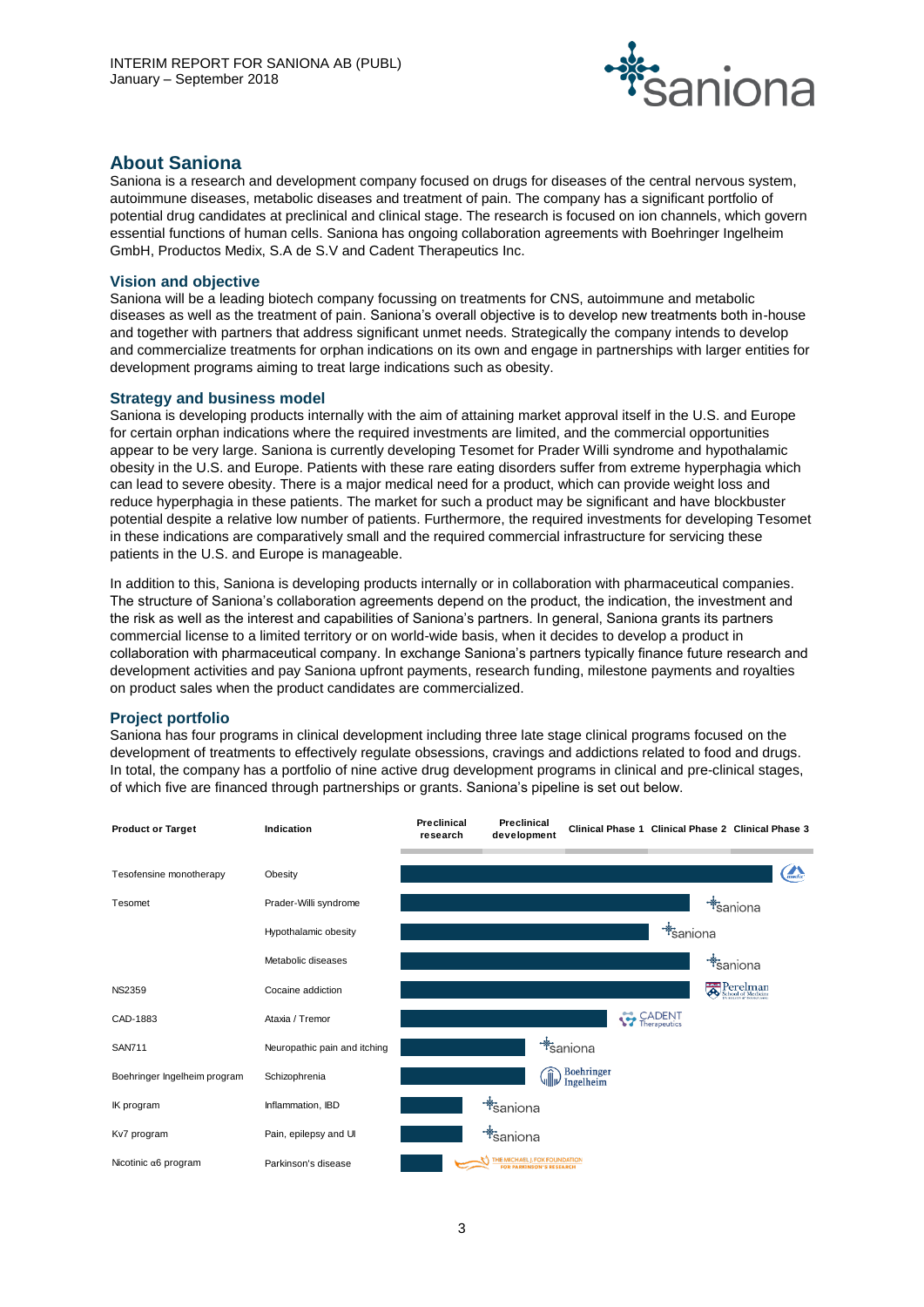

# **About Saniona**

Saniona is a research and development company focused on drugs for diseases of the central nervous system, autoimmune diseases, metabolic diseases and treatment of pain. The company has a significant portfolio of potential drug candidates at preclinical and clinical stage. The research is focused on ion channels, which govern essential functions of human cells. Saniona has ongoing collaboration agreements with Boehringer Ingelheim GmbH, Productos Medix, S.A de S.V and Cadent Therapeutics Inc.

# **Vision and objective**

Saniona will be a leading biotech company focussing on treatments for CNS, autoimmune and metabolic diseases as well as the treatment of pain. Saniona's overall objective is to develop new treatments both in-house and together with partners that address significant unmet needs. Strategically the company intends to develop and commercialize treatments for orphan indications on its own and engage in partnerships with larger entities for development programs aiming to treat large indications such as obesity.

# **Strategy and business model**

Saniona is developing products internally with the aim of attaining market approval itself in the U.S. and Europe for certain orphan indications where the required investments are limited, and the commercial opportunities appear to be very large. Saniona is currently developing Tesomet for Prader Willi syndrome and hypothalamic obesity in the U.S. and Europe. Patients with these rare eating disorders suffer from extreme hyperphagia which can lead to severe obesity. There is a major medical need for a product, which can provide weight loss and reduce hyperphagia in these patients. The market for such a product may be significant and have blockbuster potential despite a relative low number of patients. Furthermore, the required investments for developing Tesomet in these indications are comparatively small and the required commercial infrastructure for servicing these patients in the U.S. and Europe is manageable.

In addition to this, Saniona is developing products internally or in collaboration with pharmaceutical companies. The structure of Saniona's collaboration agreements depend on the product, the indication, the investment and the risk as well as the interest and capabilities of Saniona's partners. In general, Saniona grants its partners commercial license to a limited territory or on world-wide basis, when it decides to develop a product in collaboration with pharmaceutical company. In exchange Saniona's partners typically finance future research and development activities and pay Saniona upfront payments, research funding, milestone payments and royalties on product sales when the product candidates are commercialized.

# **Project portfolio**

Saniona has four programs in clinical development including three late stage clinical programs focused on the development of treatments to effectively regulate obsessions, cravings and addictions related to food and drugs. In total, the company has a portfolio of nine active drug development programs in clinical and pre-clinical stages, of which five are financed through partnerships or grants. Saniona's pipeline is set out below.

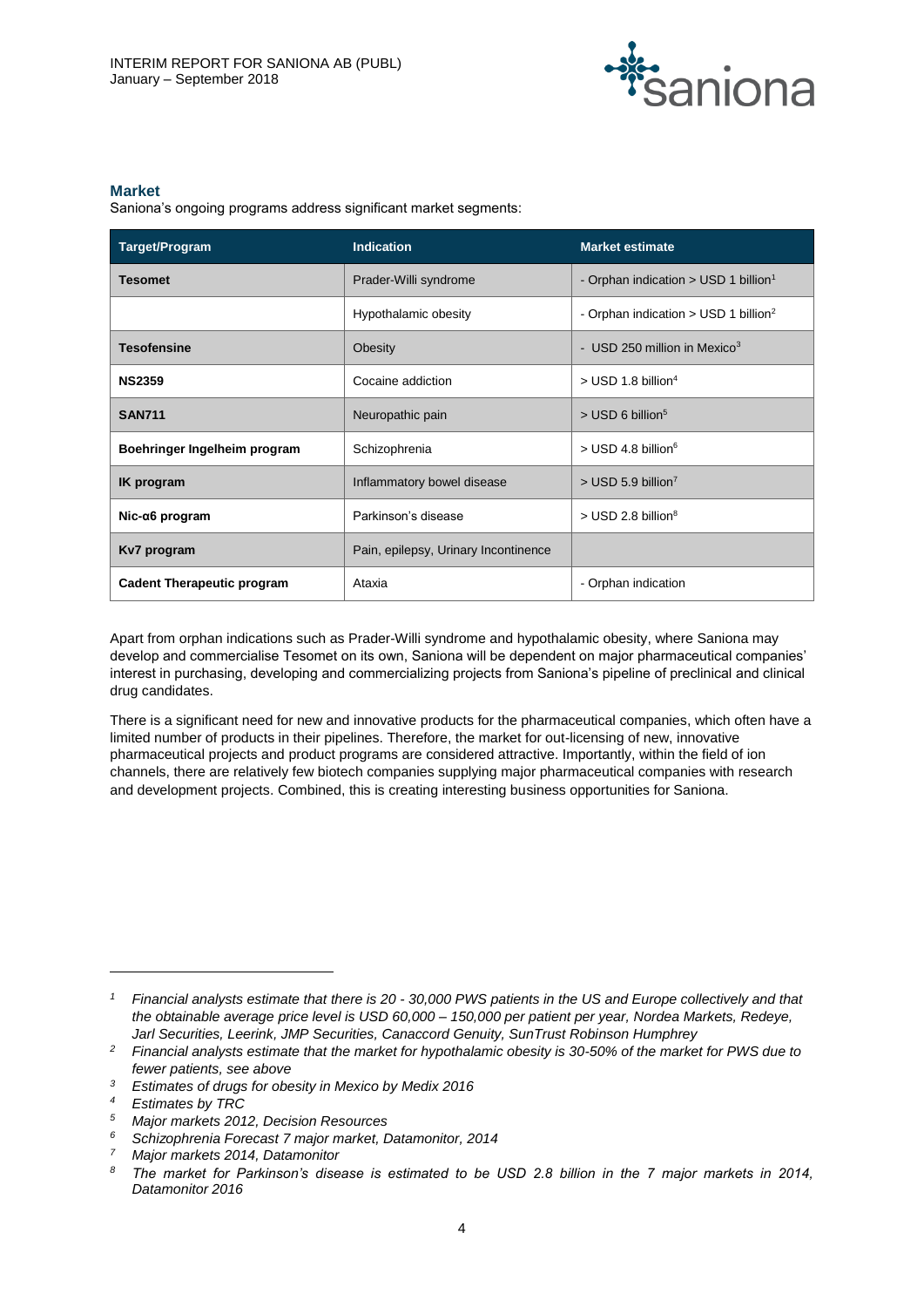

#### **Market**

Saniona's ongoing programs address significant market segments:

| <b>Target/Program</b>             | <b>Indication</b>                    | <b>Market estimate</b>                             |
|-----------------------------------|--------------------------------------|----------------------------------------------------|
| <b>Tesomet</b>                    | Prader-Willi syndrome                | - Orphan indication > USD 1 billion <sup>1</sup>   |
|                                   | Hypothalamic obesity                 | - Orphan indication $>$ USD 1 billion <sup>2</sup> |
| <b>Tesofensine</b>                | Obesity                              | - USD 250 million in Mexico <sup>3</sup>           |
| <b>NS2359</b>                     | Cocaine addiction                    | $>$ USD 1.8 billion <sup>4</sup>                   |
| <b>SAN711</b>                     | Neuropathic pain                     | $>$ USD 6 billion <sup>5</sup>                     |
| Boehringer Ingelheim program      | Schizophrenia                        | $>$ USD 4.8 billion <sup>6</sup>                   |
| <b>IK</b> program                 | Inflammatory bowel disease           | $>$ USD 5.9 billion <sup>7</sup>                   |
| $Nic-a6$ program                  | Parkinson's disease                  | $>$ USD 2.8 billion <sup>8</sup>                   |
| Kv7 program                       | Pain, epilepsy, Urinary Incontinence |                                                    |
| <b>Cadent Therapeutic program</b> | Ataxia                               | - Orphan indication                                |

Apart from orphan indications such as Prader-Willi syndrome and hypothalamic obesity, where Saniona may develop and commercialise Tesomet on its own, Saniona will be dependent on major pharmaceutical companies' interest in purchasing, developing and commercializing projects from Saniona's pipeline of preclinical and clinical drug candidates.

There is a significant need for new and innovative products for the pharmaceutical companies, which often have a limited number of products in their pipelines. Therefore, the market for out-licensing of new, innovative pharmaceutical projects and product programs are considered attractive. Importantly, within the field of ion channels, there are relatively few biotech companies supplying major pharmaceutical companies with research and development projects. Combined, this is creating interesting business opportunities for Saniona.

 $\overline{a}$ 

*<sup>1</sup> Financial analysts estimate that there is 20 - 30,000 PWS patients in the US and Europe collectively and that the obtainable average price level is USD 60,000 – 150,000 per patient per year, Nordea Markets, Redeye, Jarl Securities, Leerink, JMP Securities, Canaccord Genuity, SunTrust Robinson Humphrey*

*<sup>2</sup> Financial analysts estimate that the market for hypothalamic obesity is 30-50% of the market for PWS due to fewer patients, see above*

*<sup>3</sup> Estimates of drugs for obesity in Mexico by Medix 2016*

*<sup>4</sup> Estimates by TRC*

*<sup>5</sup> Major markets 2012, Decision Resources*

*<sup>6</sup> Schizophrenia Forecast 7 major market, Datamonitor, 2014*

*<sup>7</sup> Major markets 2014, Datamonitor*

*<sup>8</sup> The market for Parkinson's disease is estimated to be USD 2.8 billion in the 7 major markets in 2014, Datamonitor 2016*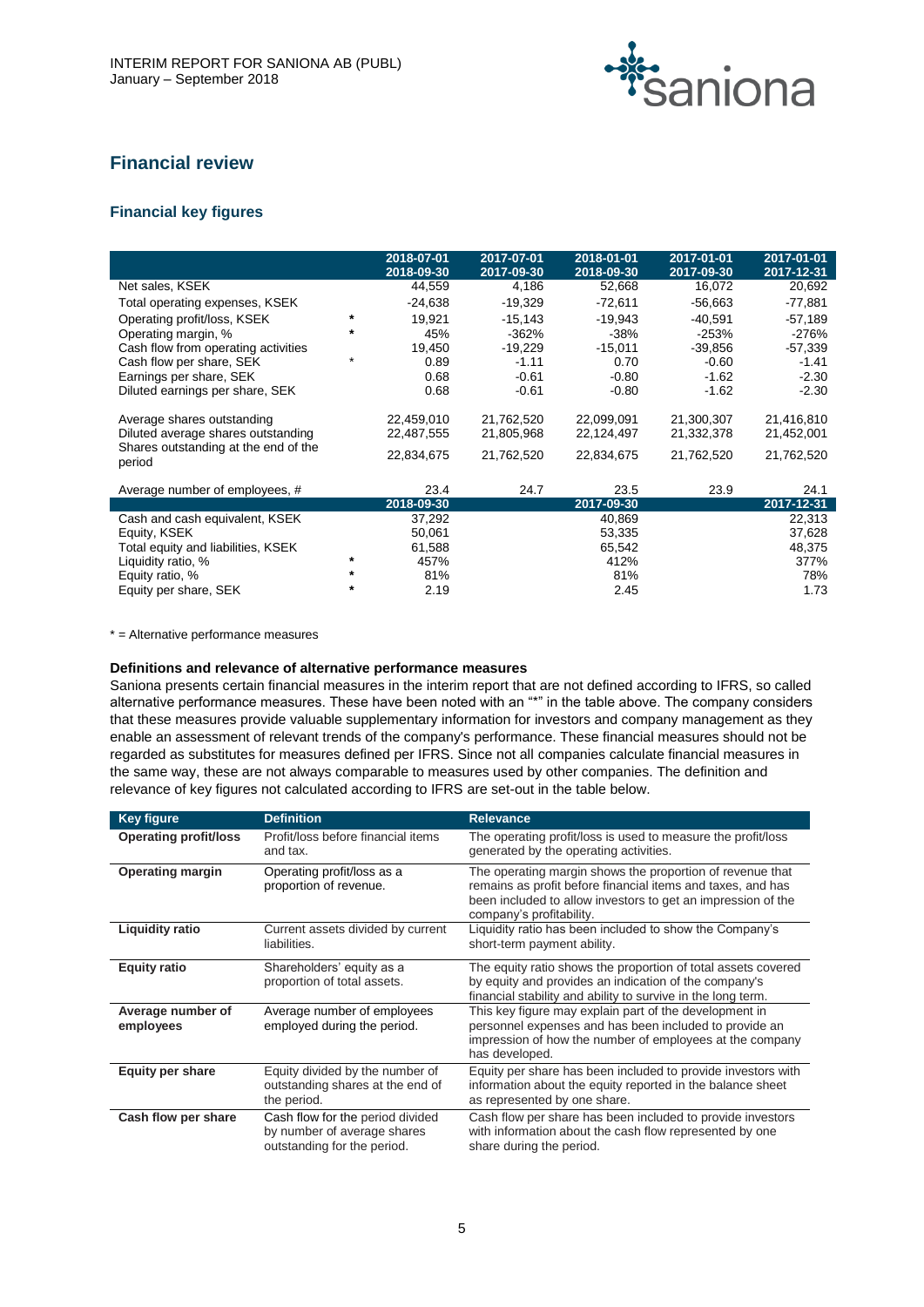

# **Financial review**

# **Financial key figures**

|                                                                  |         | 2018-07-01<br>2018-09-30 | 2017-07-01<br>2017-09-30 | 2018-01-01<br>2018-09-30 | 2017-01-01<br>2017-09-30 | 2017-01-01<br>2017-12-31 |
|------------------------------------------------------------------|---------|--------------------------|--------------------------|--------------------------|--------------------------|--------------------------|
| Net sales, KSEK                                                  |         | 44,559                   | 4,186                    | 52,668                   | 16,072                   | 20,692                   |
| Total operating expenses, KSEK                                   |         | $-24,638$                | $-19,329$                | $-72,611$                | $-56,663$                | $-77,881$                |
| Operating profit/loss, KSEK                                      |         | 19,921                   | $-15,143$                | $-19.943$                | $-40.591$                | $-57,189$                |
| Operating margin, %                                              | $\star$ | 45%                      | -362%                    | -38%                     | -253%                    | $-276%$                  |
| Cash flow from operating activities                              |         | 19,450                   | $-19,229$                | $-15,011$                | $-39,856$                | -57,339                  |
| Cash flow per share, SEK                                         | $\star$ | 0.89                     | $-1.11$                  | 0.70                     | -0.60                    | $-1.41$                  |
| Earnings per share, SEK                                          |         | 0.68                     | $-0.61$                  | $-0.80$                  | $-1.62$                  | $-2.30$                  |
| Diluted earnings per share, SEK                                  |         | 0.68                     | $-0.61$                  | $-0.80$                  | -1.62                    | $-2.30$                  |
| Average shares outstanding<br>Diluted average shares outstanding |         | 22,459,010<br>22,487,555 | 21,762,520<br>21,805,968 | 22,099,091<br>22,124,497 | 21,300,307<br>21,332,378 | 21,416,810<br>21,452,001 |
| Shares outstanding at the end of the<br>period                   |         | 22,834,675               | 21,762,520               | 22,834,675               | 21,762,520               | 21,762,520               |
| Average number of employees, #                                   |         | 23.4                     | 24.7                     | 23.5                     | 23.9                     | 24.1                     |
|                                                                  |         | 2018-09-30               |                          | 2017-09-30               |                          | 2017-12-31               |
| Cash and cash equivalent, KSEK                                   |         | 37,292                   |                          | 40,869                   |                          | 22,313                   |
| Equity, KSEK                                                     |         | 50,061                   |                          | 53,335                   |                          | 37,628                   |
| Total equity and liabilities, KSEK                               |         | 61,588                   |                          | 65,542                   |                          | 48,375                   |
| Liquidity ratio, %                                               | $\star$ | 457%                     |                          | 412%                     |                          | 377%                     |
| Equity ratio, %                                                  | $\ast$  | 81%                      |                          | 81%                      |                          | 78%                      |
| Equity per share, SEK                                            |         | 2.19                     |                          | 2.45                     |                          | 1.73                     |

\* = Alternative performance measures

#### **Definitions and relevance of alternative performance measures**

Saniona presents certain financial measures in the interim report that are not defined according to IFRS, so called alternative performance measures. These have been noted with an "\*" in the table above. The company considers that these measures provide valuable supplementary information for investors and company management as they enable an assessment of relevant trends of the company's performance. These financial measures should not be regarded as substitutes for measures defined per IFRS. Since not all companies calculate financial measures in the same way, these are not always comparable to measures used by other companies. The definition and relevance of key figures not calculated according to IFRS are set-out in the table below.

| <b>Key figure</b>              | <b>Definition</b>                                                                              | <b>Relevance</b>                                                                                                                                                                                                     |
|--------------------------------|------------------------------------------------------------------------------------------------|----------------------------------------------------------------------------------------------------------------------------------------------------------------------------------------------------------------------|
| <b>Operating profit/loss</b>   | Profit/loss before financial items<br>and tax.                                                 | The operating profit/loss is used to measure the profit/loss<br>generated by the operating activities.                                                                                                               |
| <b>Operating margin</b>        | Operating profit/loss as a<br>proportion of revenue.                                           | The operating margin shows the proportion of revenue that<br>remains as profit before financial items and taxes, and has<br>been included to allow investors to get an impression of the<br>company's profitability. |
| <b>Liquidity ratio</b>         | Current assets divided by current<br>liabilities.                                              | Liquidity ratio has been included to show the Company's<br>short-term payment ability.                                                                                                                               |
| <b>Equity ratio</b>            | Shareholders' equity as a<br>proportion of total assets.                                       | The equity ratio shows the proportion of total assets covered<br>by equity and provides an indication of the company's<br>financial stability and ability to survive in the long term.                               |
| Average number of<br>employees | Average number of employees<br>employed during the period.                                     | This key figure may explain part of the development in<br>personnel expenses and has been included to provide an<br>impression of how the number of employees at the company<br>has developed.                       |
| <b>Equity per share</b>        | Equity divided by the number of<br>outstanding shares at the end of<br>the period.             | Equity per share has been included to provide investors with<br>information about the equity reported in the balance sheet<br>as represented by one share.                                                           |
| Cash flow per share            | Cash flow for the period divided<br>by number of average shares<br>outstanding for the period. | Cash flow per share has been included to provide investors<br>with information about the cash flow represented by one<br>share during the period.                                                                    |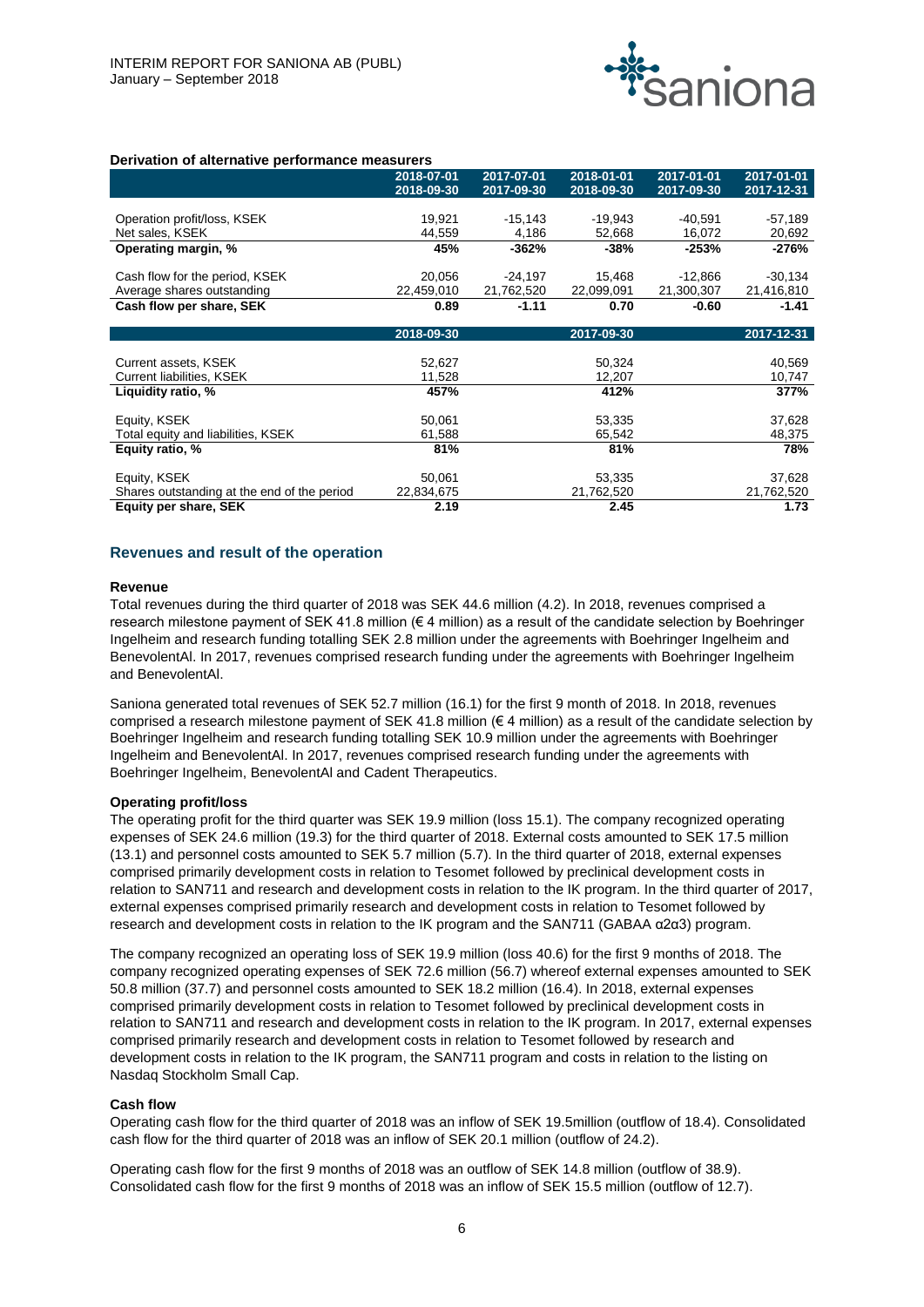

#### **Derivation of alternative performance measurers**

|                                             | 2018-07-01 | 2017-07-01 | 2018-01-01 | 2017-01-01 | 2017-01-01 |
|---------------------------------------------|------------|------------|------------|------------|------------|
|                                             | 2018-09-30 | 2017-09-30 | 2018-09-30 | 2017-09-30 | 2017-12-31 |
|                                             |            |            |            |            |            |
| Operation profit/loss, KSEK                 | 19,921     | $-15,143$  | $-19,943$  | $-40,591$  | $-57,189$  |
| Net sales, KSEK                             | 44,559     | 4,186      | 52,668     | 16,072     | 20,692     |
| Operating margin, %                         | 45%        | -362%      | $-38%$     | $-253%$    | -276%      |
|                                             |            |            |            |            |            |
| Cash flow for the period, KSEK              | 20,056     | $-24,197$  | 15,468     | $-12,866$  | $-30,134$  |
| Average shares outstanding                  | 22,459,010 | 21,762,520 | 22,099,091 | 21,300,307 | 21,416,810 |
| Cash flow per share, SEK                    | 0.89       | $-1.11$    | 0.70       | $-0.60$    | -1.41      |
|                                             |            |            |            |            |            |
|                                             | 2018-09-30 |            | 2017-09-30 |            | 2017-12-31 |
|                                             |            |            |            |            |            |
| Current assets, KSEK                        | 52,627     |            | 50,324     |            | 40,569     |
| Current liabilities, KSEK                   | 11,528     |            | 12,207     |            | 10,747     |
| Liquidity ratio, %                          | 457%       |            | 412%       |            | 377%       |
|                                             |            |            |            |            |            |
| Equity, KSEK                                | 50,061     |            | 53,335     |            | 37,628     |
| Total equity and liabilities, KSEK          | 61,588     |            | 65,542     |            | 48,375     |
| Equity ratio, %                             | 81%        |            | 81%        |            | 78%        |
|                                             |            |            |            |            |            |
| Equity, KSEK                                | 50,061     |            | 53,335     |            | 37,628     |
| Shares outstanding at the end of the period | 22,834,675 |            | 21,762,520 |            | 21,762,520 |
| Equity per share, SEK                       | 2.19       |            | 2.45       |            | 1.73       |

#### **Revenues and result of the operation**

#### **Revenue**

Total revenues during the third quarter of 2018 was SEK 44.6 million (4.2). In 2018, revenues comprised a research milestone payment of SEK 41.8 million (€ 4 million) as a result of the candidate selection by Boehringer Ingelheim and research funding totalling SEK 2.8 million under the agreements with Boehringer Ingelheim and BenevolentAl. In 2017, revenues comprised research funding under the agreements with Boehringer Ingelheim and BenevolentAl.

Saniona generated total revenues of SEK 52.7 million (16.1) for the first 9 month of 2018. In 2018, revenues comprised a research milestone payment of SEK 41.8 million (€ 4 million) as a result of the candidate selection by Boehringer Ingelheim and research funding totalling SEK 10.9 million under the agreements with Boehringer Ingelheim and BenevolentAl. In 2017, revenues comprised research funding under the agreements with Boehringer Ingelheim, BenevolentAl and Cadent Therapeutics.

#### **Operating profit/loss**

The operating profit for the third quarter was SEK 19.9 million (loss 15.1). The company recognized operating expenses of SEK 24.6 million (19.3) for the third quarter of 2018. External costs amounted to SEK 17.5 million (13.1) and personnel costs amounted to SEK 5.7 million (5.7). In the third quarter of 2018, external expenses comprised primarily development costs in relation to Tesomet followed by preclinical development costs in relation to SAN711 and research and development costs in relation to the IK program. In the third quarter of 2017, external expenses comprised primarily research and development costs in relation to Tesomet followed by research and development costs in relation to the IK program and the SAN711 (GABAA α2α3) program.

The company recognized an operating loss of SEK 19.9 million (loss 40.6) for the first 9 months of 2018. The company recognized operating expenses of SEK 72.6 million (56.7) whereof external expenses amounted to SEK 50.8 million (37.7) and personnel costs amounted to SEK 18.2 million (16.4). In 2018, external expenses comprised primarily development costs in relation to Tesomet followed by preclinical development costs in relation to SAN711 and research and development costs in relation to the IK program. In 2017, external expenses comprised primarily research and development costs in relation to Tesomet followed by research and development costs in relation to the IK program, the SAN711 program and costs in relation to the listing on Nasdaq Stockholm Small Cap.

#### **Cash flow**

Operating cash flow for the third quarter of 2018 was an inflow of SEK 19.5million (outflow of 18.4). Consolidated cash flow for the third quarter of 2018 was an inflow of SEK 20.1 million (outflow of 24.2).

Operating cash flow for the first 9 months of 2018 was an outflow of SEK 14.8 million (outflow of 38.9). Consolidated cash flow for the first 9 months of 2018 was an inflow of SEK 15.5 million (outflow of 12.7).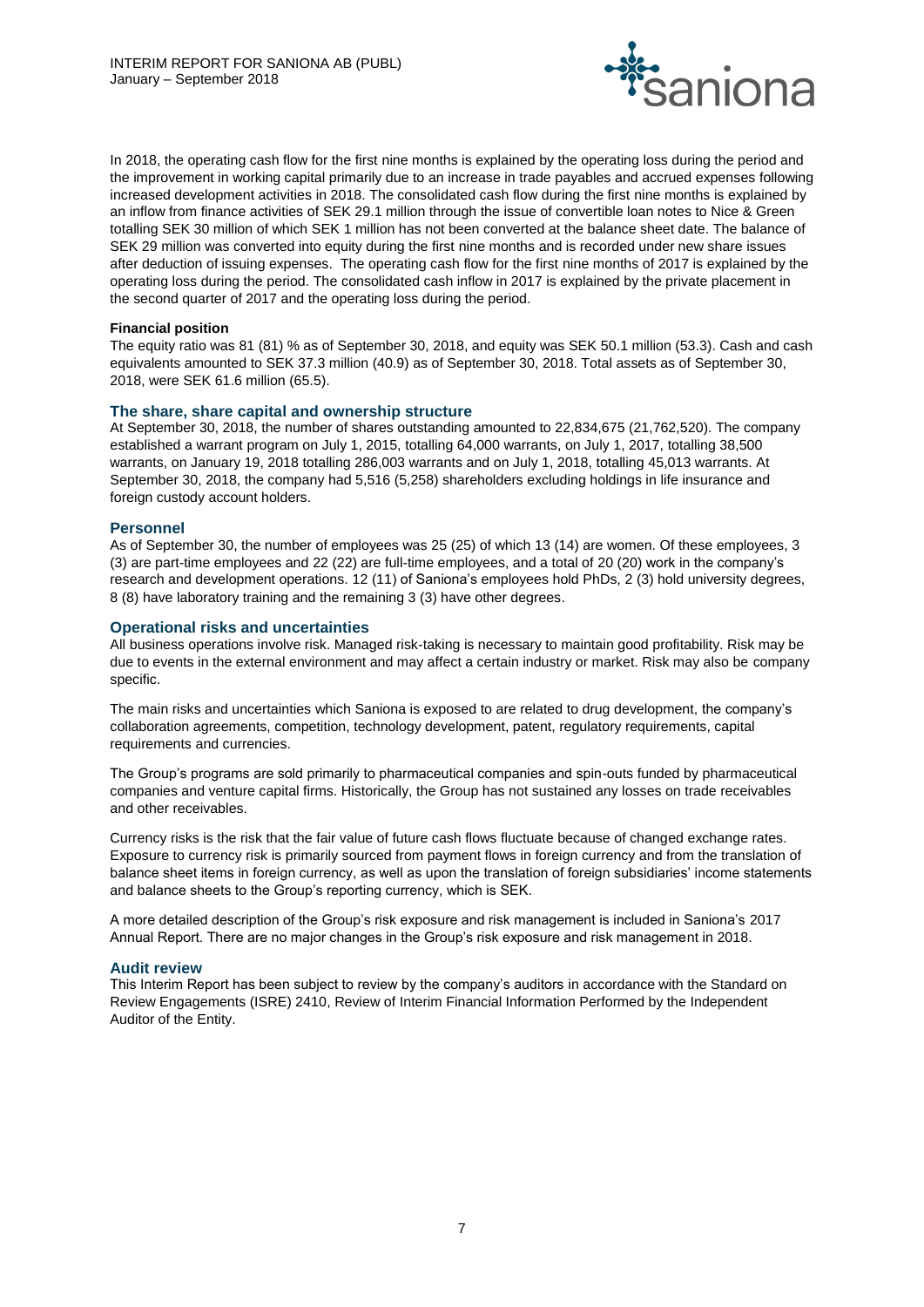

In 2018, the operating cash flow for the first nine months is explained by the operating loss during the period and the improvement in working capital primarily due to an increase in trade payables and accrued expenses following increased development activities in 2018. The consolidated cash flow during the first nine months is explained by an inflow from finance activities of SEK 29.1 million through the issue of convertible loan notes to Nice & Green totalling SEK 30 million of which SEK 1 million has not been converted at the balance sheet date. The balance of SEK 29 million was converted into equity during the first nine months and is recorded under new share issues after deduction of issuing expenses. The operating cash flow for the first nine months of 2017 is explained by the operating loss during the period. The consolidated cash inflow in 2017 is explained by the private placement in the second quarter of 2017 and the operating loss during the period.

#### **Financial position**

The equity ratio was 81 (81) % as of September 30, 2018, and equity was SEK 50.1 million (53.3). Cash and cash equivalents amounted to SEK 37.3 million (40.9) as of September 30, 2018. Total assets as of September 30, 2018, were SEK 61.6 million (65.5).

#### **The share, share capital and ownership structure**

At September 30, 2018, the number of shares outstanding amounted to 22,834,675 (21,762,520). The company established a warrant program on July 1, 2015, totalling 64,000 warrants, on July 1, 2017, totalling 38,500 warrants, on January 19, 2018 totalling 286,003 warrants and on July 1, 2018, totalling 45,013 warrants. At September 30, 2018, the company had 5,516 (5,258) shareholders excluding holdings in life insurance and foreign custody account holders.

#### **Personnel**

As of September 30, the number of employees was 25 (25) of which 13 (14) are women. Of these employees, 3 (3) are part-time employees and 22 (22) are full-time employees, and a total of 20 (20) work in the company's research and development operations. 12 (11) of Saniona's employees hold PhDs, 2 (3) hold university degrees, 8 (8) have laboratory training and the remaining 3 (3) have other degrees.

#### **Operational risks and uncertainties**

All business operations involve risk. Managed risk-taking is necessary to maintain good profitability. Risk may be due to events in the external environment and may affect a certain industry or market. Risk may also be company specific.

The main risks and uncertainties which Saniona is exposed to are related to drug development, the company's collaboration agreements, competition, technology development, patent, regulatory requirements, capital requirements and currencies.

The Group's programs are sold primarily to pharmaceutical companies and spin-outs funded by pharmaceutical companies and venture capital firms. Historically, the Group has not sustained any losses on trade receivables and other receivables.

Currency risks is the risk that the fair value of future cash flows fluctuate because of changed exchange rates. Exposure to currency risk is primarily sourced from payment flows in foreign currency and from the translation of balance sheet items in foreign currency, as well as upon the translation of foreign subsidiaries' income statements and balance sheets to the Group's reporting currency, which is SEK.

A more detailed description of the Group's risk exposure and risk management is included in Saniona's 2017 Annual Report. There are no major changes in the Group's risk exposure and risk management in 2018.

# **Audit review**

This Interim Report has been subject to review by the company's auditors in accordance with the Standard on Review Engagements (ISRE) 2410, Review of Interim Financial Information Performed by the Independent Auditor of the Entity.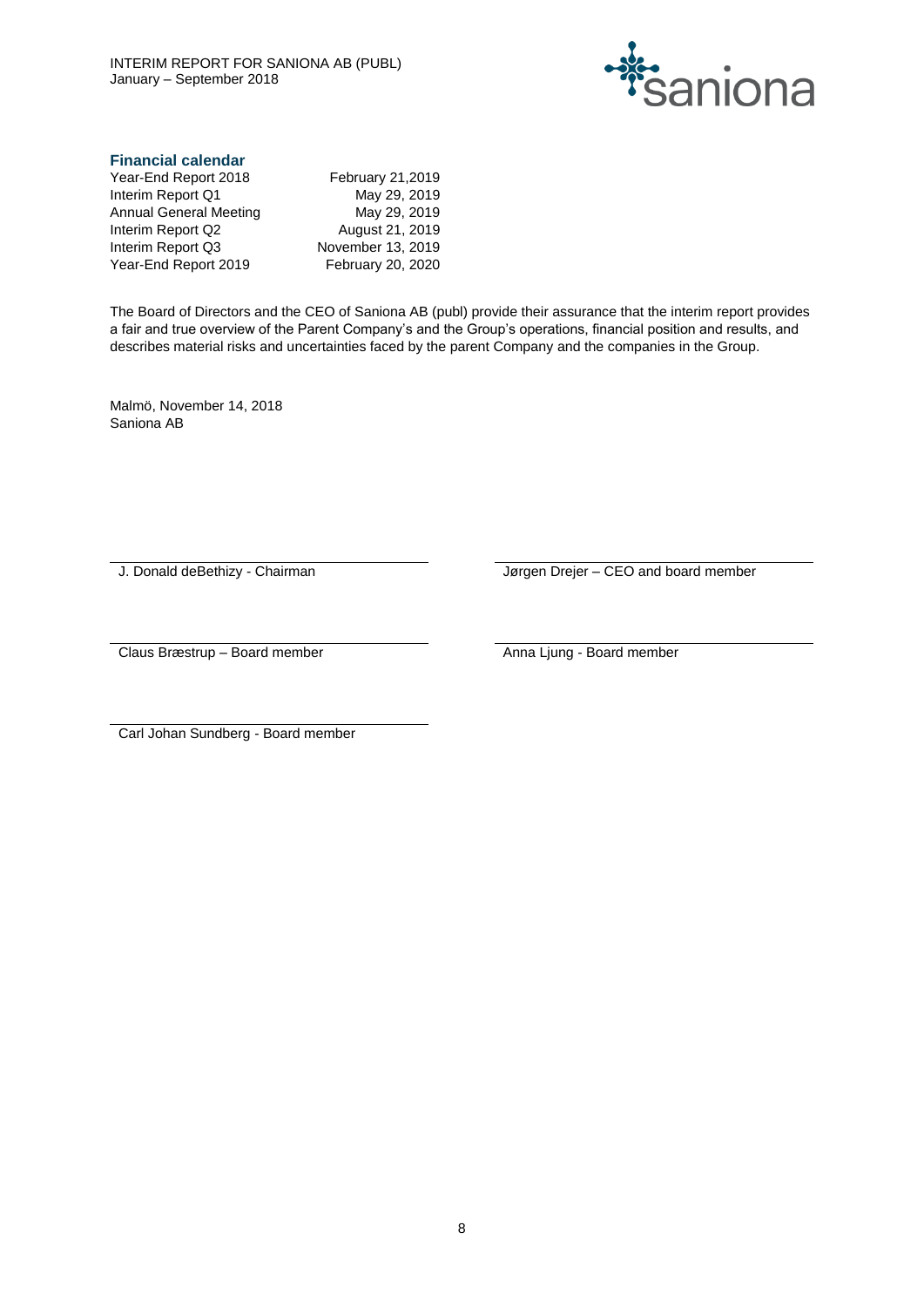

# **Financial calendar**

| Year-End Report 2018   | <b>February 21,2019</b> |
|------------------------|-------------------------|
| Interim Report Q1      | May 29, 2019            |
| Annual General Meeting | May 29, 2019            |
| Interim Report Q2      | August 21, 2019         |
| Interim Report Q3      | November 13, 2019       |
| Year-End Report 2019   | February 20, 2020       |
|                        |                         |

The Board of Directors and the CEO of Saniona AB (publ) provide their assurance that the interim report provides a fair and true overview of the Parent Company's and the Group's operations, financial position and results, and describes material risks and uncertainties faced by the parent Company and the companies in the Group.

Malmö, November 14, 2018 Saniona AB

J. Donald deBethizy - Chairman Jørgen Drejer – CEO and board member

Claus Bræstrup – Board member Anna Ljung - Board member

Carl Johan Sundberg - Board member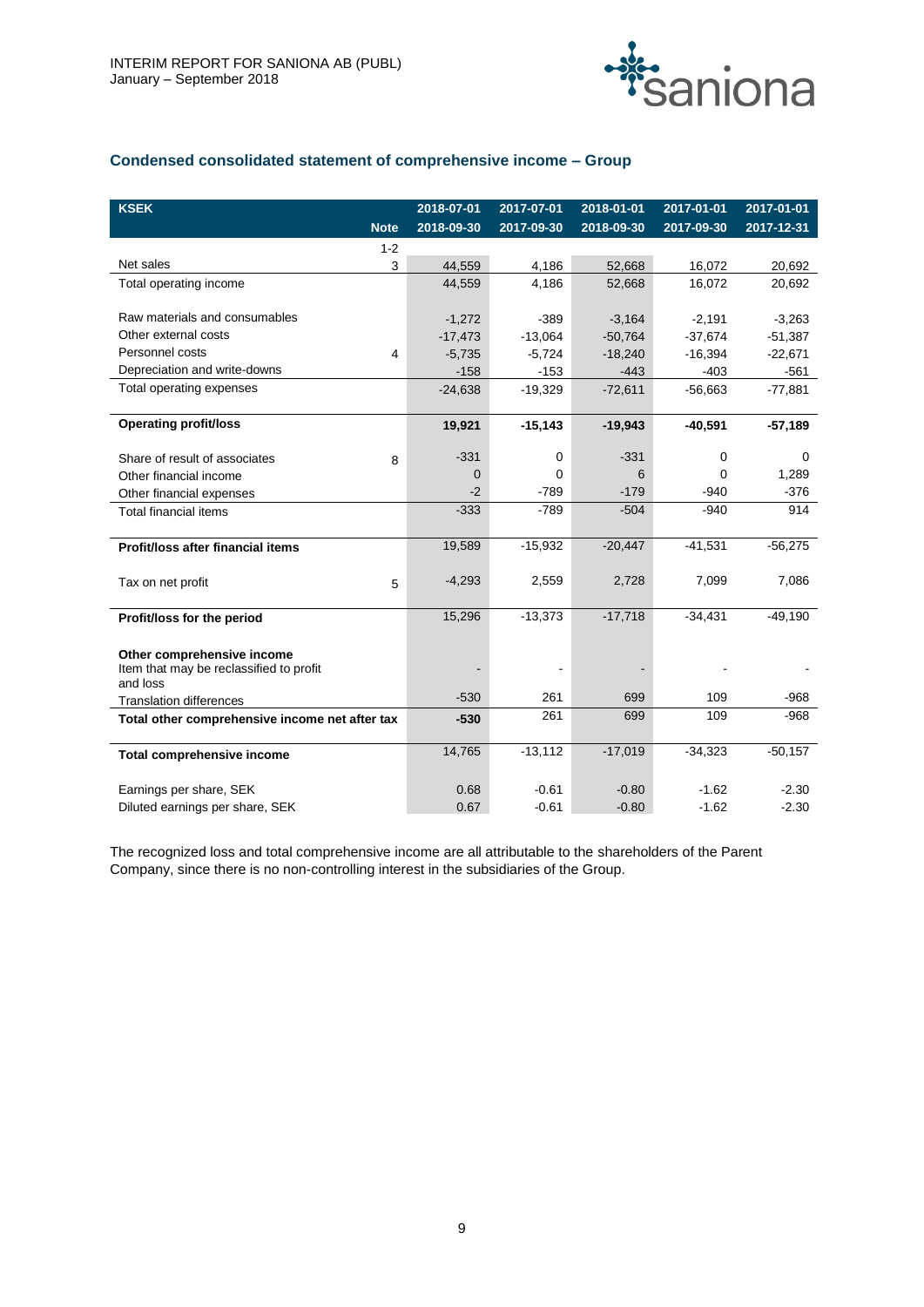

# **Condensed consolidated statement of comprehensive income – Group**

| <b>KSEK</b>                                    | 2018-07-01    | 2017-07-01 | 2018-01-01 | 2017-01-01 | 2017-01-01 |
|------------------------------------------------|---------------|------------|------------|------------|------------|
| <b>Note</b>                                    | 2018-09-30    | 2017-09-30 | 2018-09-30 | 2017-09-30 | 2017-12-31 |
| $1 - 2$                                        |               |            |            |            |            |
| Net sales                                      | 3<br>44,559   | 4,186      | 52,668     | 16,072     | 20,692     |
| Total operating income                         | 44,559        | 4,186      | 52,668     | 16.072     | 20,692     |
|                                                |               |            |            |            |            |
| Raw materials and consumables                  | $-1,272$      | $-389$     | $-3,164$   | $-2,191$   | $-3,263$   |
| Other external costs                           | $-17,473$     | $-13,064$  | $-50,764$  | $-37,674$  | $-51,387$  |
| Personnel costs                                | 4<br>$-5,735$ | $-5,724$   | $-18,240$  | $-16,394$  | $-22,671$  |
| Depreciation and write-downs                   | $-158$        | $-153$     | $-443$     | $-403$     | $-561$     |
| Total operating expenses                       | $-24,638$     | $-19,329$  | $-72,611$  | $-56,663$  | $-77,881$  |
|                                                |               |            |            |            |            |
| <b>Operating profit/loss</b>                   | 19,921        | $-15,143$  | $-19,943$  | $-40,591$  | $-57,189$  |
|                                                |               |            |            |            |            |
| Share of result of associates                  | $-331$<br>8   | 0          | $-331$     | 0          | 0          |
| Other financial income                         | $\Omega$      | $\Omega$   | 6          | 0          | 1,289      |
| Other financial expenses                       | $-2$          | $-789$     | $-179$     | -940       | $-376$     |
| <b>Total financial items</b>                   | $-333$        | $-789$     | $-504$     | $-940$     | 914        |
|                                                | 19,589        | $-15,932$  | $-20,447$  | $-41,531$  |            |
| Profit/loss after financial items              |               |            |            |            | $-56,275$  |
|                                                | $-4,293$      | 2,559      | 2,728      | 7,099      | 7,086      |
| Tax on net profit                              | 5             |            |            |            |            |
| Profit/loss for the period                     | 15,296        | $-13,373$  | $-17,718$  | $-34.431$  | $-49,190$  |
|                                                |               |            |            |            |            |
| Other comprehensive income                     |               |            |            |            |            |
| Item that may be reclassified to profit        |               |            |            |            |            |
| and loss                                       |               |            |            |            |            |
| <b>Translation differences</b>                 | $-530$        | 261        | 699        | 109        | $-968$     |
| Total other comprehensive income net after tax | $-530$        | 261        | 699        | 109        | $-968$     |
|                                                |               |            |            |            |            |
| <b>Total comprehensive income</b>              | 14,765        | $-13,112$  | $-17,019$  | $-34,323$  | $-50,157$  |
|                                                |               |            |            |            |            |
| Earnings per share, SEK                        | 0.68          | $-0.61$    | $-0.80$    | $-1.62$    | $-2.30$    |
| Diluted earnings per share, SEK                | 0.67          | $-0.61$    | $-0.80$    | $-1.62$    | $-2.30$    |

The recognized loss and total comprehensive income are all attributable to the shareholders of the Parent Company, since there is no non-controlling interest in the subsidiaries of the Group.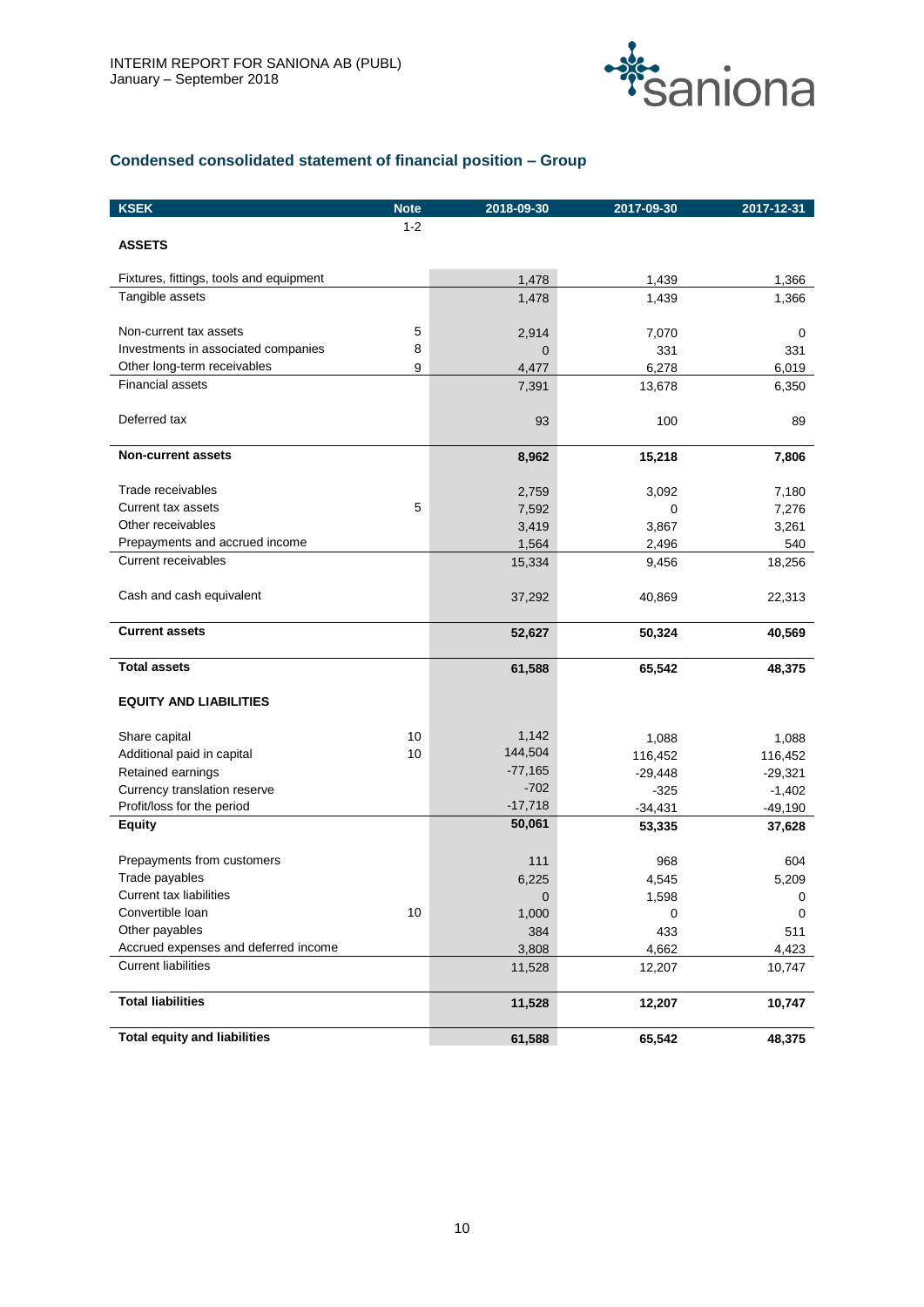

# **Condensed consolidated statement of financial position – Group**

| <b>KSEK</b>                             | <b>Note</b> | 2018-09-30      | 2017-09-30     | 2017-12-31    |
|-----------------------------------------|-------------|-----------------|----------------|---------------|
|                                         | $1 - 2$     |                 |                |               |
| <b>ASSETS</b>                           |             |                 |                |               |
| Fixtures, fittings, tools and equipment |             | 1,478           | 1,439          | 1,366         |
| Tangible assets                         |             | 1,478           | 1,439          | 1,366         |
| Non-current tax assets                  | 5           | 2,914           | 7,070          | 0             |
| Investments in associated companies     | 8           | 0               | 331            | 331           |
| Other long-term receivables             | 9           | 4,477           | 6,278          | 6,019         |
| <b>Financial assets</b>                 |             | 7,391           | 13,678         | 6,350         |
| Deferred tax                            |             | 93              | 100            | 89            |
| <b>Non-current assets</b>               |             | 8,962           | 15,218         | 7,806         |
|                                         |             |                 |                |               |
| Trade receivables                       |             | 2,759           | 3,092          | 7,180         |
| Current tax assets<br>Other receivables | 5           | 7,592           | 0              | 7,276         |
| Prepayments and accrued income          |             | 3,419           | 3,867          | 3,261         |
| Current receivables                     |             | 1,564<br>15,334 | 2,496<br>9,456 | 540<br>18,256 |
|                                         |             |                 |                |               |
| Cash and cash equivalent                |             | 37,292          | 40,869         | 22,313        |
| <b>Current assets</b>                   |             | 52,627          | 50,324         | 40,569        |
| <b>Total assets</b>                     |             | 61,588          | 65,542         | 48,375        |
| <b>EQUITY AND LIABILITIES</b>           |             |                 |                |               |
| Share capital                           | 10          | 1,142           | 1,088          | 1,088         |
| Additional paid in capital              | 10          | 144,504         | 116,452        | 116,452       |
| Retained earnings                       |             | $-77,165$       | $-29,448$      | $-29,321$     |
| Currency translation reserve            |             | $-702$          | $-325$         | $-1,402$      |
| Profit/loss for the period              |             | $-17,718$       | $-34,431$      | $-49,190$     |
| <b>Equity</b>                           |             | 50,061          | 53,335         | 37,628        |
| Prepayments from customers              |             | 111             | 968            | 604           |
| Trade payables                          |             | 6,225           | 4,545          | 5,209         |
| Current tax liabilities                 |             | 0               | 1,598          | 0             |
| Convertible loan                        | 10          | 1,000           | 0              | 0             |
| Other payables                          |             | 384             | 433            | 511           |
| Accrued expenses and deferred income    |             | 3,808           | 4,662          | 4,423         |
| <b>Current liabilities</b>              |             | 11,528          | 12,207         | 10,747        |
| <b>Total liabilities</b>                |             | 11,528          | 12,207         | 10,747        |
| <b>Total equity and liabilities</b>     |             | 61,588          | 65,542         | 48,375        |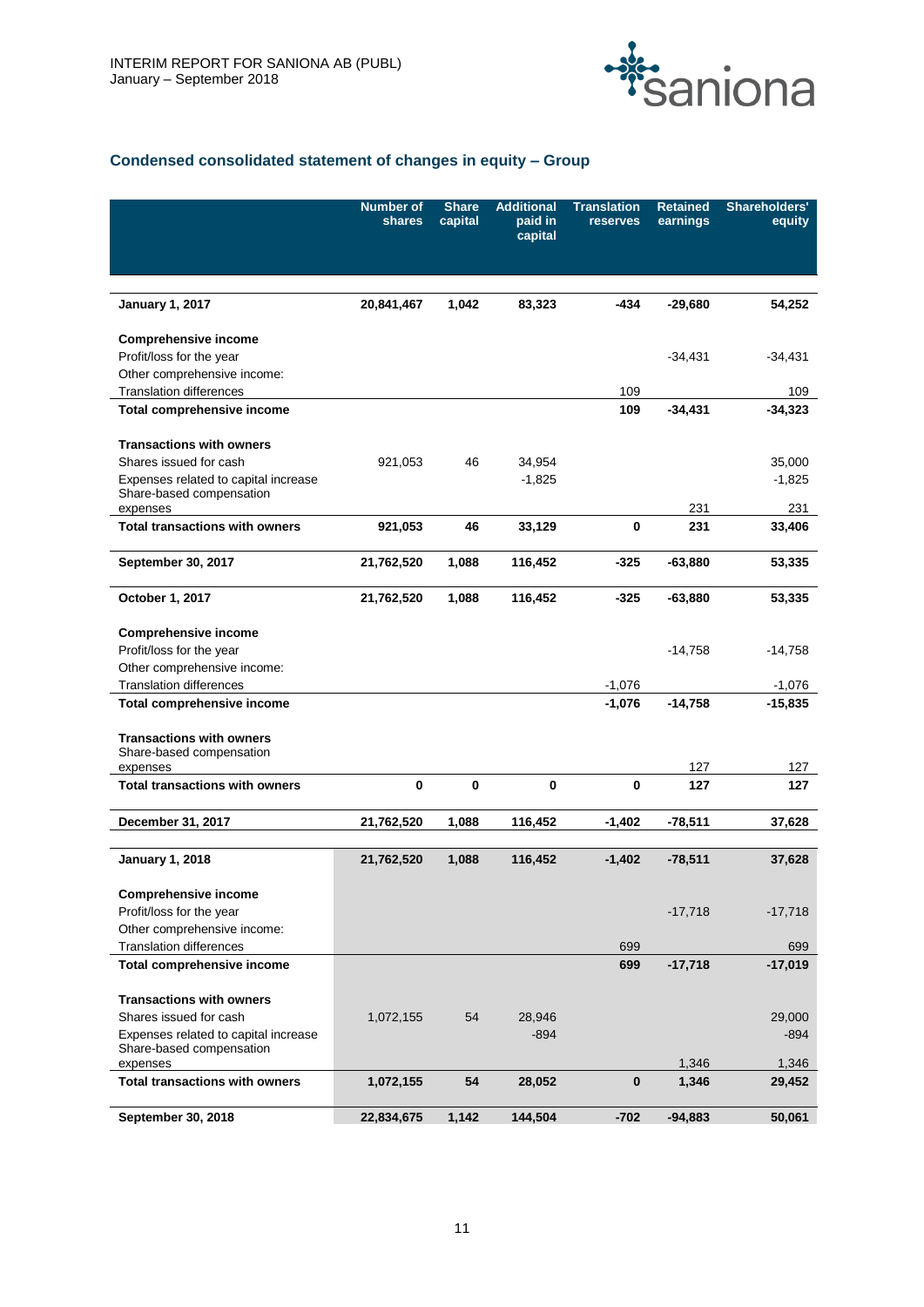

# **Condensed consolidated statement of changes in equity – Group**

|                                                             | <b>Number of</b><br>shares | <b>Share</b><br>capital | <b>Additional</b><br>paid in<br>capital | <b>Translation</b><br>reserves | <b>Retained</b><br>earnings | Shareholders'<br>equity |
|-------------------------------------------------------------|----------------------------|-------------------------|-----------------------------------------|--------------------------------|-----------------------------|-------------------------|
|                                                             |                            |                         |                                         |                                |                             |                         |
|                                                             |                            |                         |                                         |                                |                             |                         |
| <b>January 1, 2017</b>                                      | 20,841,467                 | 1,042                   | 83,323                                  | -434                           | $-29.680$                   | 54,252                  |
| <b>Comprehensive income</b>                                 |                            |                         |                                         |                                |                             |                         |
| Profit/loss for the year                                    |                            |                         |                                         |                                | $-34,431$                   | -34,431                 |
| Other comprehensive income:                                 |                            |                         |                                         |                                |                             |                         |
| <b>Translation differences</b>                              |                            |                         |                                         | 109                            |                             | 109                     |
| Total comprehensive income                                  |                            |                         |                                         | 109                            | $-34,431$                   | $-34,323$               |
| <b>Transactions with owners</b>                             |                            |                         |                                         |                                |                             |                         |
| Shares issued for cash                                      | 921,053                    | 46                      | 34,954                                  |                                |                             | 35,000                  |
| Expenses related to capital increase                        |                            |                         | $-1,825$                                |                                |                             | $-1,825$                |
| Share-based compensation<br>expenses                        |                            |                         |                                         |                                | 231                         | 231                     |
| <b>Total transactions with owners</b>                       | 921,053                    | 46                      | 33,129                                  | 0                              | 231                         | 33,406                  |
|                                                             |                            |                         |                                         |                                |                             |                         |
| September 30, 2017                                          | 21,762,520                 | 1,088                   | 116,452                                 | -325                           | $-63,880$                   | 53,335                  |
| October 1, 2017                                             | 21,762,520                 | 1,088                   | 116,452                                 | -325                           | $-63,880$                   | 53,335                  |
|                                                             |                            |                         |                                         |                                |                             |                         |
| <b>Comprehensive income</b><br>Profit/loss for the year     |                            |                         |                                         |                                | $-14,758$                   | -14,758                 |
| Other comprehensive income:                                 |                            |                         |                                         |                                |                             |                         |
| <b>Translation differences</b>                              |                            |                         |                                         | $-1,076$                       |                             | $-1,076$                |
| Total comprehensive income                                  |                            |                         |                                         | $-1,076$                       | $-14,758$                   | $-15,835$               |
|                                                             |                            |                         |                                         |                                |                             |                         |
| <b>Transactions with owners</b><br>Share-based compensation |                            |                         |                                         |                                |                             |                         |
| expenses                                                    |                            |                         |                                         |                                | 127                         | 127                     |
| <b>Total transactions with owners</b>                       | 0                          | 0                       | 0                                       | $\bf{0}$                       | 127                         | 127                     |
|                                                             |                            |                         |                                         |                                |                             |                         |
| December 31, 2017                                           | 21,762,520                 | 1,088                   | 116,452                                 | $-1,402$                       | $-78,511$                   | 37,628                  |
| <b>January 1, 2018</b>                                      | 21,762,520                 | 1,088                   | 116,452                                 | $-1,402$                       | $-78,511$                   | 37,628                  |
|                                                             |                            |                         |                                         |                                |                             |                         |
| <b>Comprehensive income</b>                                 |                            |                         |                                         |                                |                             |                         |
| Profit/loss for the year                                    |                            |                         |                                         |                                | $-17,718$                   | -17,718                 |
| Other comprehensive income:                                 |                            |                         |                                         |                                |                             |                         |
| <b>Translation differences</b>                              |                            |                         |                                         | 699                            |                             | 699                     |
| Total comprehensive income                                  |                            |                         |                                         | 699                            | $-17,718$                   | $-17,019$               |
| <b>Transactions with owners</b>                             |                            |                         |                                         |                                |                             |                         |
| Shares issued for cash                                      | 1,072,155                  | 54                      | 28,946                                  |                                |                             | 29,000                  |
| Expenses related to capital increase                        |                            |                         | $-894$                                  |                                |                             | $-894$                  |
| Share-based compensation<br>expenses                        |                            |                         |                                         |                                | 1,346                       | 1,346                   |
| <b>Total transactions with owners</b>                       | 1,072,155                  | 54                      | 28,052                                  | $\bf{0}$                       | 1,346                       | 29,452                  |
|                                                             |                            |                         |                                         |                                |                             |                         |
| September 30, 2018                                          | 22,834,675                 | 1,142                   | 144,504                                 | $-702$                         | $-94,883$                   | 50,061                  |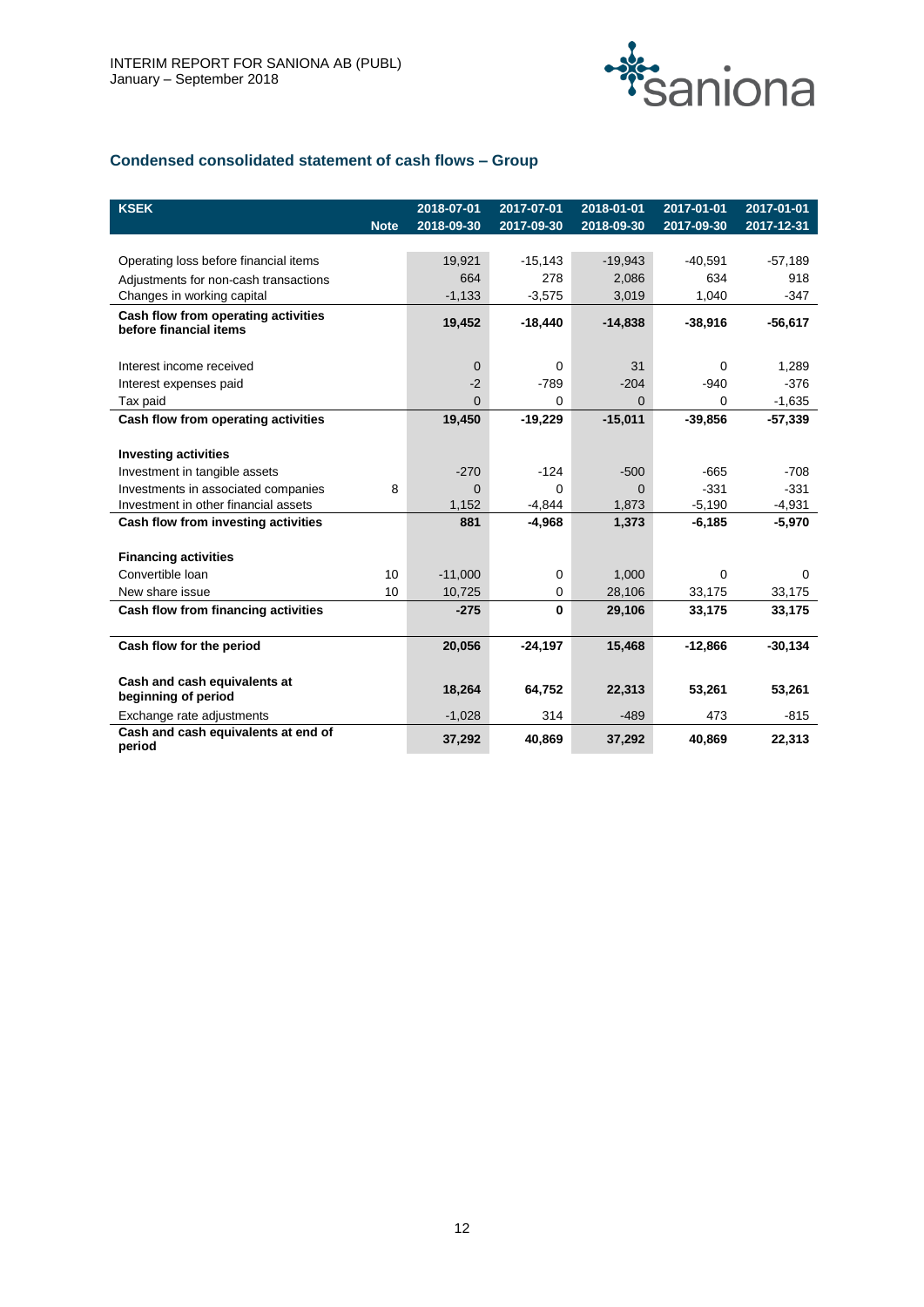

# **Condensed consolidated statement of cash flows – Group**

| <b>KSEK</b>                                                   | <b>Note</b> | 2018-07-01<br>2018-09-30 | 2017-07-01<br>2017-09-30 | 2018-01-01<br>2018-09-30 | 2017-01-01<br>2017-09-30 | 2017-01-01<br>$2017 - 12 - 31$ |
|---------------------------------------------------------------|-------------|--------------------------|--------------------------|--------------------------|--------------------------|--------------------------------|
|                                                               |             |                          |                          |                          |                          |                                |
| Operating loss before financial items                         |             | 19,921                   | $-15,143$                | $-19,943$                | $-40,591$                | $-57,189$                      |
| Adjustments for non-cash transactions                         |             | 664                      | 278                      | 2,086                    | 634                      | 918                            |
| Changes in working capital                                    |             | $-1,133$                 | $-3,575$                 | 3,019                    | 1,040                    | $-347$                         |
| Cash flow from operating activities<br>before financial items |             | 19,452                   | $-18,440$                | $-14,838$                | $-38,916$                | $-56,617$                      |
|                                                               |             |                          |                          |                          |                          |                                |
| Interest income received                                      |             | $\mathbf 0$              | $\Omega$                 | 31                       | $\Omega$                 | 1,289                          |
| Interest expenses paid                                        |             | $-2$                     | $-789$                   | $-204$                   | $-940$                   | $-376$                         |
| Tax paid                                                      |             | $\Omega$                 | $\Omega$                 | $\Omega$                 | $\Omega$                 | $-1,635$                       |
| Cash flow from operating activities                           |             | 19,450                   | $-19,229$                | $-15,011$                | $-39,856$                | $-57,339$                      |
|                                                               |             |                          |                          |                          |                          |                                |
| <b>Investing activities</b>                                   |             |                          |                          |                          |                          |                                |
| Investment in tangible assets                                 |             | $-270$                   | $-124$                   | $-500$                   | $-665$                   | $-708$                         |
| Investments in associated companies                           | 8           | $\Omega$                 | $\Omega$                 | $\Omega$                 | $-331$                   | $-331$                         |
| Investment in other financial assets                          |             | 1,152                    | $-4,844$                 | 1,873                    | $-5,190$                 | $-4,931$                       |
| Cash flow from investing activities                           |             | 881                      | $-4,968$                 | 1,373                    | $-6,185$                 | $-5,970$                       |
| <b>Financing activities</b>                                   |             |                          |                          |                          |                          |                                |
| Convertible Ioan                                              | 10          | $-11,000$                | $\Omega$                 | 1,000                    | $\Omega$                 | $\Omega$                       |
| New share issue                                               | 10          | 10,725                   | $\Omega$                 | 28,106                   | 33,175                   | 33,175                         |
| Cash flow from financing activities                           |             | $-275$                   | $\bf{0}$                 | 29,106                   | 33,175                   | 33,175                         |
|                                                               |             |                          |                          |                          |                          |                                |
| Cash flow for the period                                      |             | 20,056                   | $-24,197$                | 15,468                   | $-12,866$                | $-30,134$                      |
| Cash and cash equivalents at<br>beginning of period           |             | 18,264                   | 64.752                   | 22,313                   | 53.261                   | 53,261                         |
| Exchange rate adjustments                                     |             | $-1,028$                 | 314                      | $-489$                   | 473                      | $-815$                         |
| Cash and cash equivalents at end of<br>period                 |             | 37,292                   | 40,869                   | 37,292                   | 40,869                   | 22,313                         |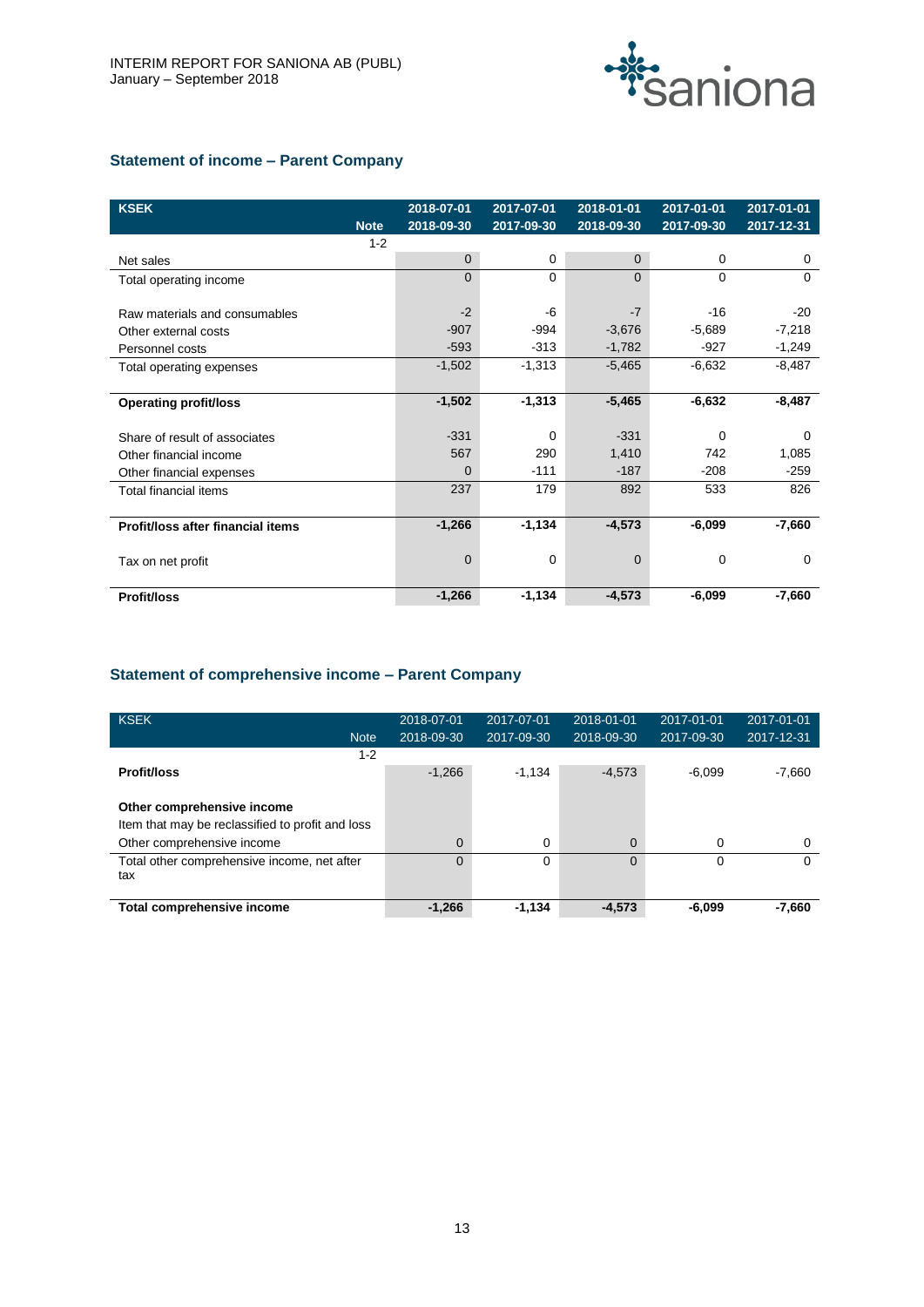

# **Statement of income – Parent Company**

| <b>KSEK</b>                       |                        | 2018-07-01     | 2017-07-01 | 2018-01-01  | 2017-01-01  | 2017-01-01 |
|-----------------------------------|------------------------|----------------|------------|-------------|-------------|------------|
|                                   | <b>Note</b><br>$1 - 2$ | 2018-09-30     | 2017-09-30 | 2018-09-30  | 2017-09-30  | 2017-12-31 |
| Net sales                         |                        | $\overline{0}$ | 0          | $\Omega$    | 0           | 0          |
| Total operating income            |                        | $\Omega$       | 0          | $\Omega$    | $\Omega$    | $\Omega$   |
|                                   |                        |                |            |             |             |            |
| Raw materials and consumables     |                        | $-2$           | -6         | $-7$        | $-16$       | $-20$      |
| Other external costs              |                        | $-907$         | $-994$     | $-3,676$    | $-5,689$    | $-7,218$   |
| Personnel costs                   |                        | $-593$         | $-313$     | $-1,782$    | $-927$      | $-1,249$   |
| Total operating expenses          |                        | $-1,502$       | $-1,313$   | $-5,465$    | $-6,632$    | $-8,487$   |
|                                   |                        |                |            |             |             |            |
| <b>Operating profit/loss</b>      |                        | $-1,502$       | $-1,313$   | $-5,465$    | $-6,632$    | $-8,487$   |
|                                   |                        |                |            |             |             |            |
| Share of result of associates     |                        | $-331$         | 0          | $-331$      | $\mathbf 0$ | 0          |
| Other financial income            |                        | 567            | 290        | 1,410       | 742         | 1,085      |
| Other financial expenses          |                        | $\Omega$       | $-111$     | $-187$      | $-208$      | $-259$     |
| Total financial items             |                        | 237            | 179        | 892         | 533         | 826        |
|                                   |                        |                |            |             |             |            |
| Profit/loss after financial items |                        | $-1,266$       | $-1,134$   | $-4,573$    | $-6,099$    | $-7,660$   |
|                                   |                        |                |            |             |             |            |
| Tax on net profit                 |                        | $\mathbf 0$    | 0          | $\mathbf 0$ | 0           | 0          |
|                                   |                        |                |            |             |             |            |
| <b>Profit/loss</b>                |                        | $-1,266$       | $-1,134$   | $-4,573$    | $-6,099$    | -7.660     |

# **Statement of comprehensive income – Parent Company**

| KSEK<br><b>Note</b>                                | 2018-07-01<br>2018-09-30 | 2017-07-01<br>2017-09-30 | 2018-01-01<br>2018-09-30 | 2017-01-01<br>2017-09-30 | 2017-01-01<br>2017-12-31 |
|----------------------------------------------------|--------------------------|--------------------------|--------------------------|--------------------------|--------------------------|
| $1 - 2$                                            |                          |                          |                          |                          |                          |
| <b>Profit/loss</b>                                 | $-1.266$                 | $-1,134$                 | $-4,573$                 | $-6.099$                 | $-7,660$                 |
| Other comprehensive income                         |                          |                          |                          |                          |                          |
| Item that may be reclassified to profit and loss   |                          |                          |                          |                          |                          |
| Other comprehensive income                         | $\Omega$                 | 0                        | $\Omega$                 | 0                        | $\Omega$                 |
| Total other comprehensive income, net after<br>tax | $\Omega$                 | $\Omega$                 | $\Omega$                 | $\Omega$                 | 0                        |
| Total comprehensive income                         | $-1,266$                 | $-1,134$                 | $-4,573$                 | $-6,099$                 | $-7,660$                 |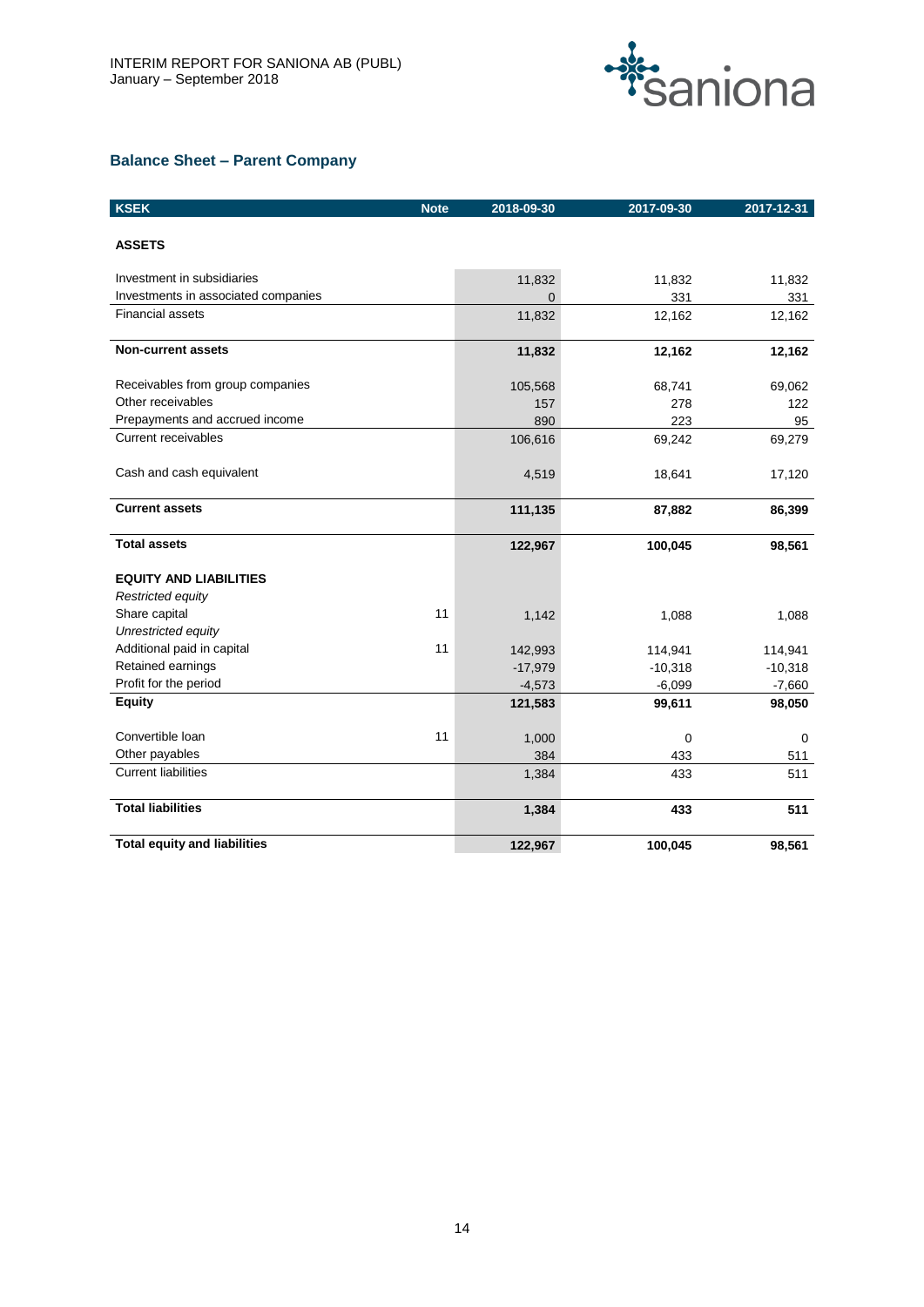

# **Balance Sheet – Parent Company**

| <b>KSEK</b>                         | <b>Note</b> | 2018-09-30 | 2017-09-30  | 2017-12-31 |
|-------------------------------------|-------------|------------|-------------|------------|
| <b>ASSETS</b>                       |             |            |             |            |
| Investment in subsidiaries          |             | 11,832     | 11,832      | 11,832     |
| Investments in associated companies |             | $\Omega$   | 331         | 331        |
| <b>Financial assets</b>             |             | 11,832     | 12,162      | 12,162     |
| <b>Non-current assets</b>           |             | 11,832     | 12,162      | 12,162     |
| Receivables from group companies    |             | 105,568    | 68,741      | 69,062     |
| Other receivables                   |             | 157        | 278         | 122        |
| Prepayments and accrued income      |             | 890        | 223         | 95         |
| <b>Current receivables</b>          |             | 106,616    | 69,242      | 69,279     |
| Cash and cash equivalent            |             | 4,519      | 18,641      | 17,120     |
| <b>Current assets</b>               |             | 111,135    | 87,882      | 86,399     |
| <b>Total assets</b>                 |             | 122,967    | 100,045     | 98,561     |
| <b>EQUITY AND LIABILITIES</b>       |             |            |             |            |
| Restricted equity                   |             |            |             |            |
| Share capital                       | 11          | 1,142      | 1,088       | 1,088      |
| Unrestricted equity                 |             |            |             |            |
| Additional paid in capital          | 11          | 142,993    | 114,941     | 114,941    |
| Retained earnings                   |             | $-17,979$  | $-10,318$   | $-10,318$  |
| Profit for the period               |             | $-4,573$   | $-6,099$    | $-7,660$   |
| <b>Equity</b>                       |             | 121,583    | 99,611      | 98,050     |
| Convertible Ioan                    | 11          | 1,000      | $\mathbf 0$ | 0          |
| Other payables                      |             | 384        | 433         | 511        |
| <b>Current liabilities</b>          |             | 1,384      | 433         | 511        |
| <b>Total liabilities</b>            |             | 1,384      | 433         | 511        |
| <b>Total equity and liabilities</b> |             | 122,967    | 100,045     | 98,561     |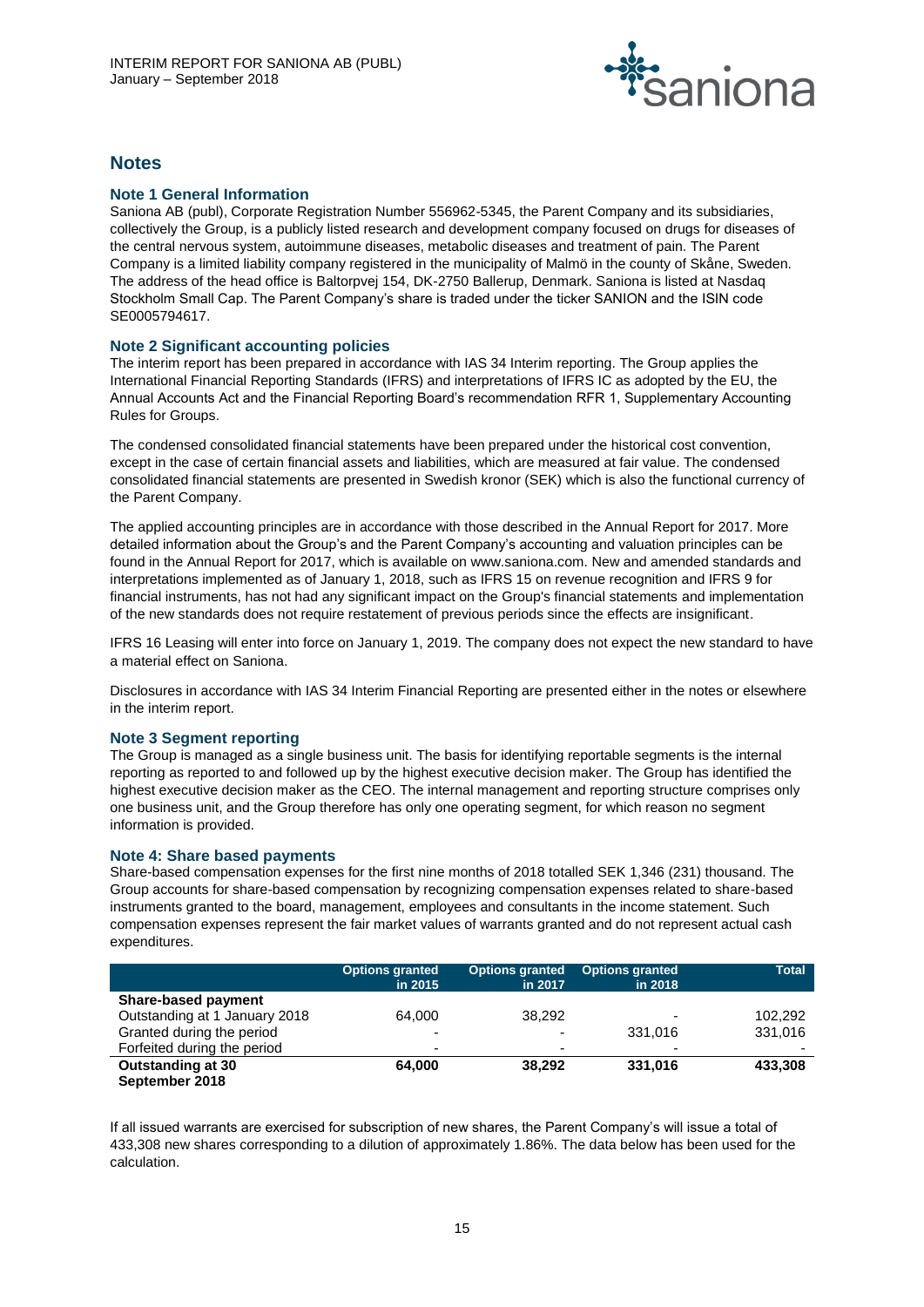

# **Notes**

# **Note 1 General Information**

Saniona AB (publ), Corporate Registration Number 556962-5345, the Parent Company and its subsidiaries, collectively the Group, is a publicly listed research and development company focused on drugs for diseases of the central nervous system, autoimmune diseases, metabolic diseases and treatment of pain. The Parent Company is a limited liability company registered in the municipality of Malmö in the county of Skåne, Sweden. The address of the head office is Baltorpvej 154, DK-2750 Ballerup, Denmark. Saniona is listed at Nasdaq Stockholm Small Cap. The Parent Company's share is traded under the ticker SANION and the ISIN code SE0005794617.

# **Note 2 Significant accounting policies**

The interim report has been prepared in accordance with IAS 34 Interim reporting. The Group applies the International Financial Reporting Standards (IFRS) and interpretations of IFRS IC as adopted by the EU, the Annual Accounts Act and the Financial Reporting Board's recommendation RFR 1, Supplementary Accounting Rules for Groups.

The condensed consolidated financial statements have been prepared under the historical cost convention, except in the case of certain financial assets and liabilities, which are measured at fair value. The condensed consolidated financial statements are presented in Swedish kronor (SEK) which is also the functional currency of the Parent Company.

The applied accounting principles are in accordance with those described in the Annual Report for 2017. More detailed information about the Group's and the Parent Company's accounting and valuation principles can be found in the Annual Report for 2017, which is available on www.saniona.com. New and amended standards and interpretations implemented as of January 1, 2018, such as IFRS 15 on revenue recognition and IFRS 9 for financial instruments, has not had any significant impact on the Group's financial statements and implementation of the new standards does not require restatement of previous periods since the effects are insignificant.

IFRS 16 Leasing will enter into force on January 1, 2019. The company does not expect the new standard to have a material effect on Saniona.

Disclosures in accordance with IAS 34 Interim Financial Reporting are presented either in the notes or elsewhere in the interim report.

# **Note 3 Segment reporting**

The Group is managed as a single business unit. The basis for identifying reportable segments is the internal reporting as reported to and followed up by the highest executive decision maker. The Group has identified the highest executive decision maker as the CEO. The internal management and reporting structure comprises only one business unit, and the Group therefore has only one operating segment, for which reason no segment information is provided.

# **Note 4: Share based payments**

Share-based compensation expenses for the first nine months of 2018 totalled SEK 1,346 (231) thousand. The Group accounts for share-based compensation by recognizing compensation expenses related to share-based instruments granted to the board, management, employees and consultants in the income statement. Such compensation expenses represent the fair market values of warrants granted and do not represent actual cash expenditures.

|                               | <b>Options granted</b><br>in 2015 | <b>Options granted</b><br>in 2017 | <b>Options granted</b><br>in 2018 | <b>Total</b>             |
|-------------------------------|-----------------------------------|-----------------------------------|-----------------------------------|--------------------------|
| <b>Share-based payment</b>    |                                   |                                   |                                   |                          |
| Outstanding at 1 January 2018 | 64.000                            | 38.292                            |                                   | 102,292                  |
| Granted during the period     | $\overline{\phantom{0}}$          |                                   | 331.016                           | 331,016                  |
| Forfeited during the period   | $\blacksquare$                    | ۰.                                | $\overline{\phantom{0}}$          | $\overline{\phantom{0}}$ |
| Outstanding at 30             | 64.000                            | 38.292                            | 331,016                           | 433,308                  |
| September 2018                |                                   |                                   |                                   |                          |

If all issued warrants are exercised for subscription of new shares, the Parent Company's will issue a total of 433,308 new shares corresponding to a dilution of approximately 1.86%. The data below has been used for the calculation.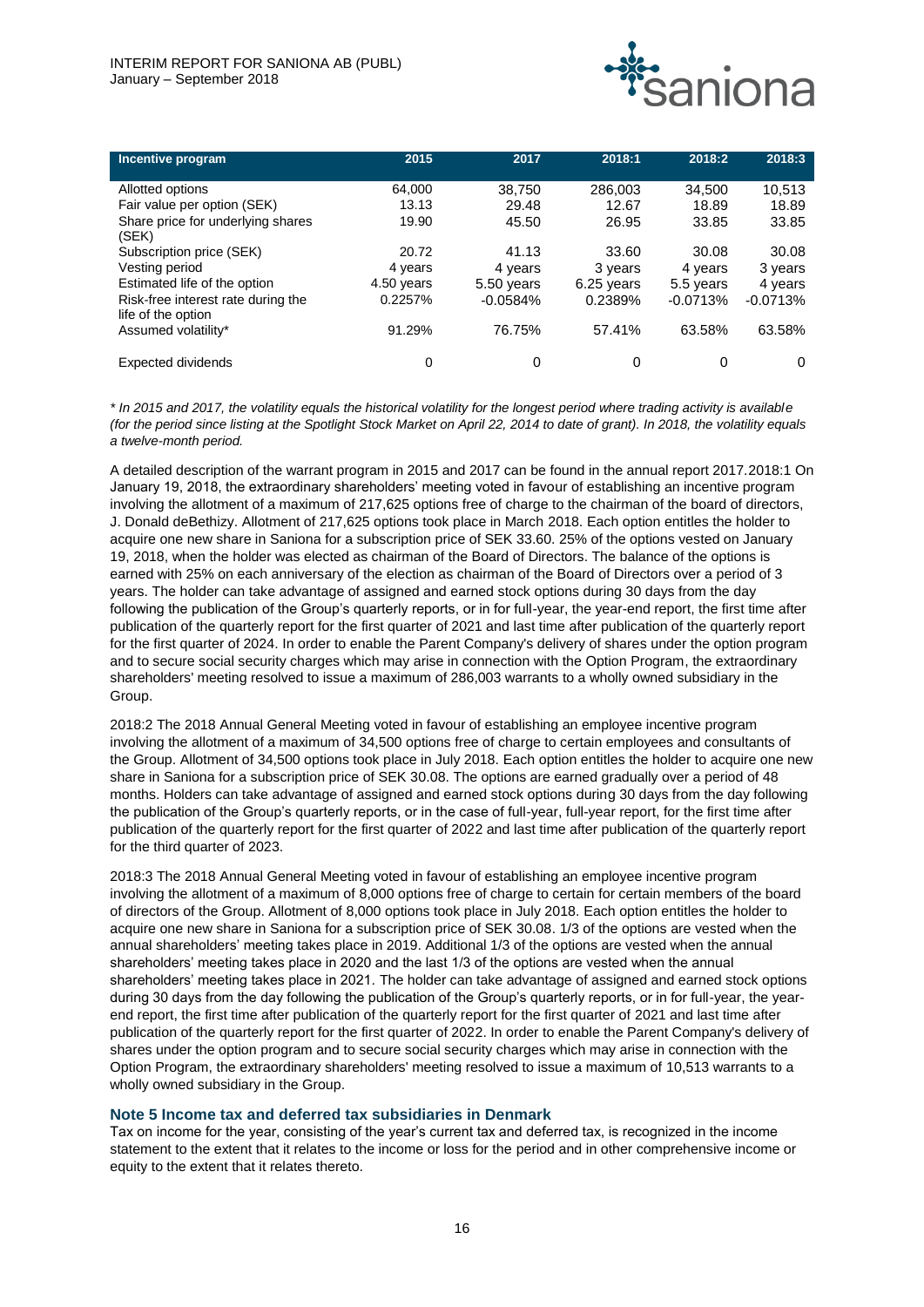

| Incentive program                  | 2015       | 2017       | 2018:1       | 2018:2     | 2018:3     |
|------------------------------------|------------|------------|--------------|------------|------------|
|                                    |            |            |              |            |            |
| Allotted options                   | 64,000     | 38,750     | 286,003      | 34,500     | 10,513     |
| Fair value per option (SEK)        | 13.13      | 29.48      | 12.67        | 18.89      | 18.89      |
| Share price for underlying shares  | 19.90      | 45.50      | 26.95        | 33.85      | 33.85      |
| (SEK)                              |            |            |              |            |            |
| Subscription price (SEK)           | 20.72      | 41.13      | 33.60        | 30.08      | 30.08      |
| Vesting period                     | 4 years    | 4 years    | 3 years      | 4 years    | 3 years    |
| Estimated life of the option       | 4.50 years | 5.50 years | $6.25$ years | 5.5 years  | 4 years    |
| Risk-free interest rate during the | 0.2257%    | $-0.0584%$ | 0.2389%      | $-0.0713%$ | $-0.0713%$ |
| life of the option                 |            |            |              |            |            |
| Assumed volatility*                | 91.29%     | 76.75%     | 57.41%       | 63.58%     | 63.58%     |
|                                    |            |            |              |            |            |
| <b>Expected dividends</b>          | 0          |            | 0            | 0          | 0          |

*\* In 2015 and 2017, the volatility equals the historical volatility for the longest period where trading activity is available (for the period since listing at the Spotlight Stock Market on April 22, 2014 to date of grant). In 2018, the volatility equals a twelve-month period.* 

A detailed description of the warrant program in 2015 and 2017 can be found in the annual report 2017.2018:1 On January 19, 2018, the extraordinary shareholders' meeting voted in favour of establishing an incentive program involving the allotment of a maximum of 217,625 options free of charge to the chairman of the board of directors, J. Donald deBethizy. Allotment of 217,625 options took place in March 2018. Each option entitles the holder to acquire one new share in Saniona for a subscription price of SEK 33.60. 25% of the options vested on January 19, 2018, when the holder was elected as chairman of the Board of Directors. The balance of the options is earned with 25% on each anniversary of the election as chairman of the Board of Directors over a period of 3 years. The holder can take advantage of assigned and earned stock options during 30 days from the day following the publication of the Group's quarterly reports, or in for full-year, the year-end report, the first time after publication of the quarterly report for the first quarter of 2021 and last time after publication of the quarterly report for the first quarter of 2024. In order to enable the Parent Company's delivery of shares under the option program and to secure social security charges which may arise in connection with the Option Program, the extraordinary shareholders' meeting resolved to issue a maximum of 286,003 warrants to a wholly owned subsidiary in the Group.

2018:2 The 2018 Annual General Meeting voted in favour of establishing an employee incentive program involving the allotment of a maximum of 34,500 options free of charge to certain employees and consultants of the Group. Allotment of 34,500 options took place in July 2018. Each option entitles the holder to acquire one new share in Saniona for a subscription price of SEK 30.08. The options are earned gradually over a period of 48 months. Holders can take advantage of assigned and earned stock options during 30 days from the day following the publication of the Group's quarterly reports, or in the case of full-year, full-year report, for the first time after publication of the quarterly report for the first quarter of 2022 and last time after publication of the quarterly report for the third quarter of 2023.

2018:3 The 2018 Annual General Meeting voted in favour of establishing an employee incentive program involving the allotment of a maximum of 8,000 options free of charge to certain for certain members of the board of directors of the Group. Allotment of 8,000 options took place in July 2018. Each option entitles the holder to acquire one new share in Saniona for a subscription price of SEK 30.08. 1/3 of the options are vested when the annual shareholders' meeting takes place in 2019. Additional 1/3 of the options are vested when the annual shareholders' meeting takes place in 2020 and the last 1/3 of the options are vested when the annual shareholders' meeting takes place in 2021. The holder can take advantage of assigned and earned stock options during 30 days from the day following the publication of the Group's quarterly reports, or in for full-year, the yearend report, the first time after publication of the quarterly report for the first quarter of 2021 and last time after publication of the quarterly report for the first quarter of 2022. In order to enable the Parent Company's delivery of shares under the option program and to secure social security charges which may arise in connection with the Option Program, the extraordinary shareholders' meeting resolved to issue a maximum of 10,513 warrants to a wholly owned subsidiary in the Group.

# **Note 5 Income tax and deferred tax subsidiaries in Denmark**

Tax on income for the year, consisting of the year's current tax and deferred tax, is recognized in the income statement to the extent that it relates to the income or loss for the period and in other comprehensive income or equity to the extent that it relates thereto.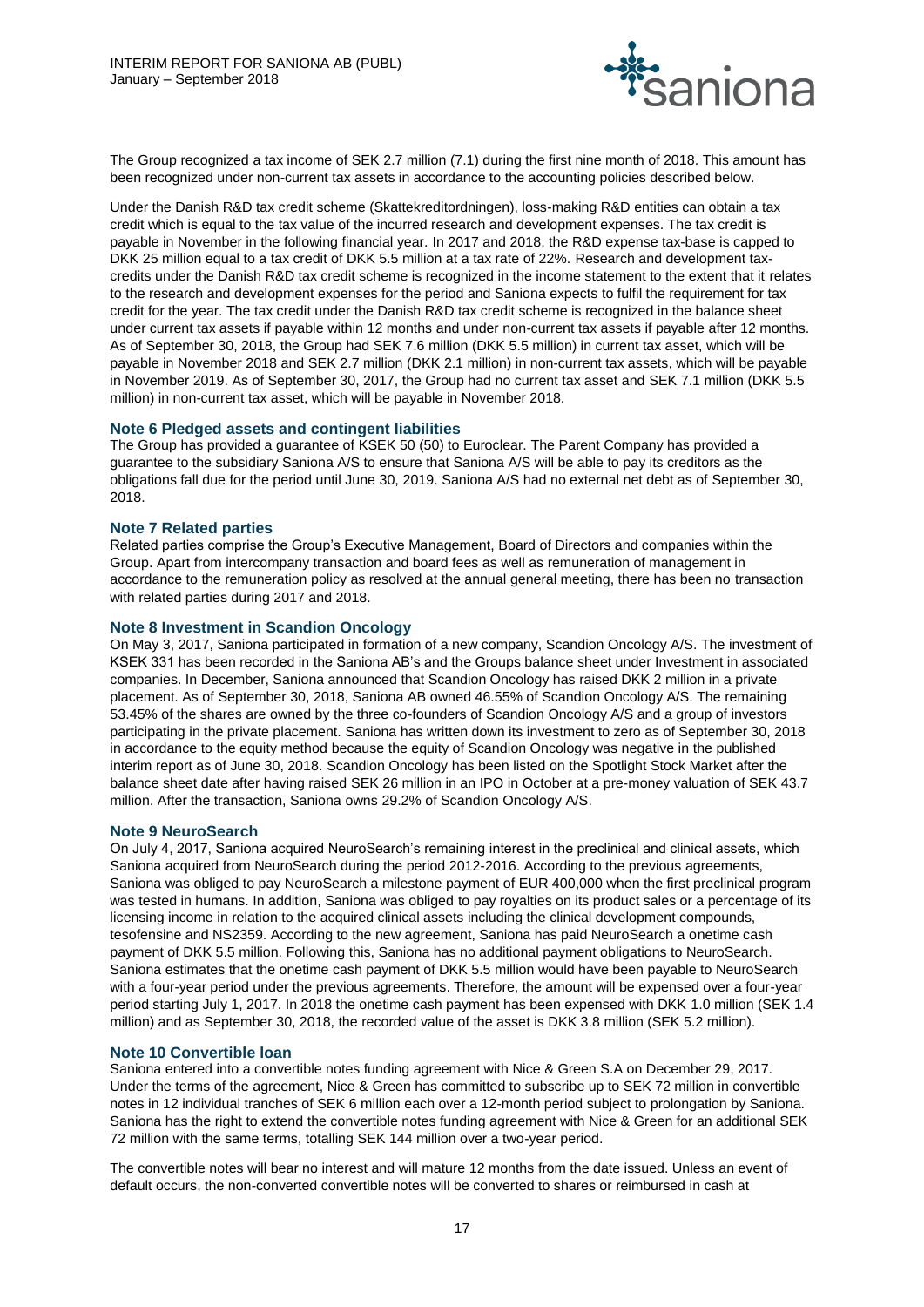

The Group recognized a tax income of SEK 2.7 million (7.1) during the first nine month of 2018. This amount has been recognized under non-current tax assets in accordance to the accounting policies described below.

Under the Danish R&D tax credit scheme (Skattekreditordningen), loss-making R&D entities can obtain a tax credit which is equal to the tax value of the incurred research and development expenses. The tax credit is payable in November in the following financial year. In 2017 and 2018, the R&D expense tax-base is capped to DKK 25 million equal to a tax credit of DKK 5.5 million at a tax rate of 22%. Research and development taxcredits under the Danish R&D tax credit scheme is recognized in the income statement to the extent that it relates to the research and development expenses for the period and Saniona expects to fulfil the requirement for tax credit for the year. The tax credit under the Danish R&D tax credit scheme is recognized in the balance sheet under current tax assets if payable within 12 months and under non-current tax assets if payable after 12 months. As of September 30, 2018, the Group had SEK 7.6 million (DKK 5.5 million) in current tax asset, which will be payable in November 2018 and SEK 2.7 million (DKK 2.1 million) in non-current tax assets, which will be payable in November 2019. As of September 30, 2017, the Group had no current tax asset and SEK 7.1 million (DKK 5.5 million) in non-current tax asset, which will be payable in November 2018.

#### **Note 6 Pledged assets and contingent liabilities**

The Group has provided a guarantee of KSEK 50 (50) to Euroclear. The Parent Company has provided a guarantee to the subsidiary Saniona A/S to ensure that Saniona A/S will be able to pay its creditors as the obligations fall due for the period until June 30, 2019. Saniona A/S had no external net debt as of September 30, 2018.

#### **Note 7 Related parties**

Related parties comprise the Group's Executive Management, Board of Directors and companies within the Group. Apart from intercompany transaction and board fees as well as remuneration of management in accordance to the remuneration policy as resolved at the annual general meeting, there has been no transaction with related parties during 2017 and 2018.

#### **Note 8 Investment in Scandion Oncology**

On May 3, 2017, Saniona participated in formation of a new company, Scandion Oncology A/S. The investment of KSEK 331 has been recorded in the Saniona AB's and the Groups balance sheet under Investment in associated companies. In December, Saniona announced that Scandion Oncology has raised DKK 2 million in a private placement. As of September 30, 2018, Saniona AB owned 46.55% of Scandion Oncology A/S. The remaining 53.45% of the shares are owned by the three co-founders of Scandion Oncology A/S and a group of investors participating in the private placement. Saniona has written down its investment to zero as of September 30, 2018 in accordance to the equity method because the equity of Scandion Oncology was negative in the published interim report as of June 30, 2018. Scandion Oncology has been listed on the Spotlight Stock Market after the balance sheet date after having raised SEK 26 million in an IPO in October at a pre-money valuation of SEK 43.7 million. After the transaction, Saniona owns 29.2% of Scandion Oncology A/S.

#### **Note 9 NeuroSearch**

On July 4, 2017, Saniona acquired NeuroSearch's remaining interest in the preclinical and clinical assets, which Saniona acquired from NeuroSearch during the period 2012-2016. According to the previous agreements, Saniona was obliged to pay NeuroSearch a milestone payment of EUR 400,000 when the first preclinical program was tested in humans. In addition, Saniona was obliged to pay royalties on its product sales or a percentage of its licensing income in relation to the acquired clinical assets including the clinical development compounds, tesofensine and NS2359. According to the new agreement, Saniona has paid NeuroSearch a onetime cash payment of DKK 5.5 million. Following this, Saniona has no additional payment obligations to NeuroSearch. Saniona estimates that the onetime cash payment of DKK 5.5 million would have been payable to NeuroSearch with a four-year period under the previous agreements. Therefore, the amount will be expensed over a four-year period starting July 1, 2017. In 2018 the onetime cash payment has been expensed with DKK 1.0 million (SEK 1.4 million) and as September 30, 2018, the recorded value of the asset is DKK 3.8 million (SEK 5.2 million).

#### **Note 10 Convertible loan**

Saniona entered into a convertible notes funding agreement with Nice & Green S.A on December 29, 2017. Under the terms of the agreement, Nice & Green has committed to subscribe up to SEK 72 million in convertible notes in 12 individual tranches of SEK 6 million each over a 12-month period subject to prolongation by Saniona. Saniona has the right to extend the convertible notes funding agreement with Nice & Green for an additional SEK 72 million with the same terms, totalling SEK 144 million over a two-year period.

The convertible notes will bear no interest and will mature 12 months from the date issued. Unless an event of default occurs, the non-converted convertible notes will be converted to shares or reimbursed in cash at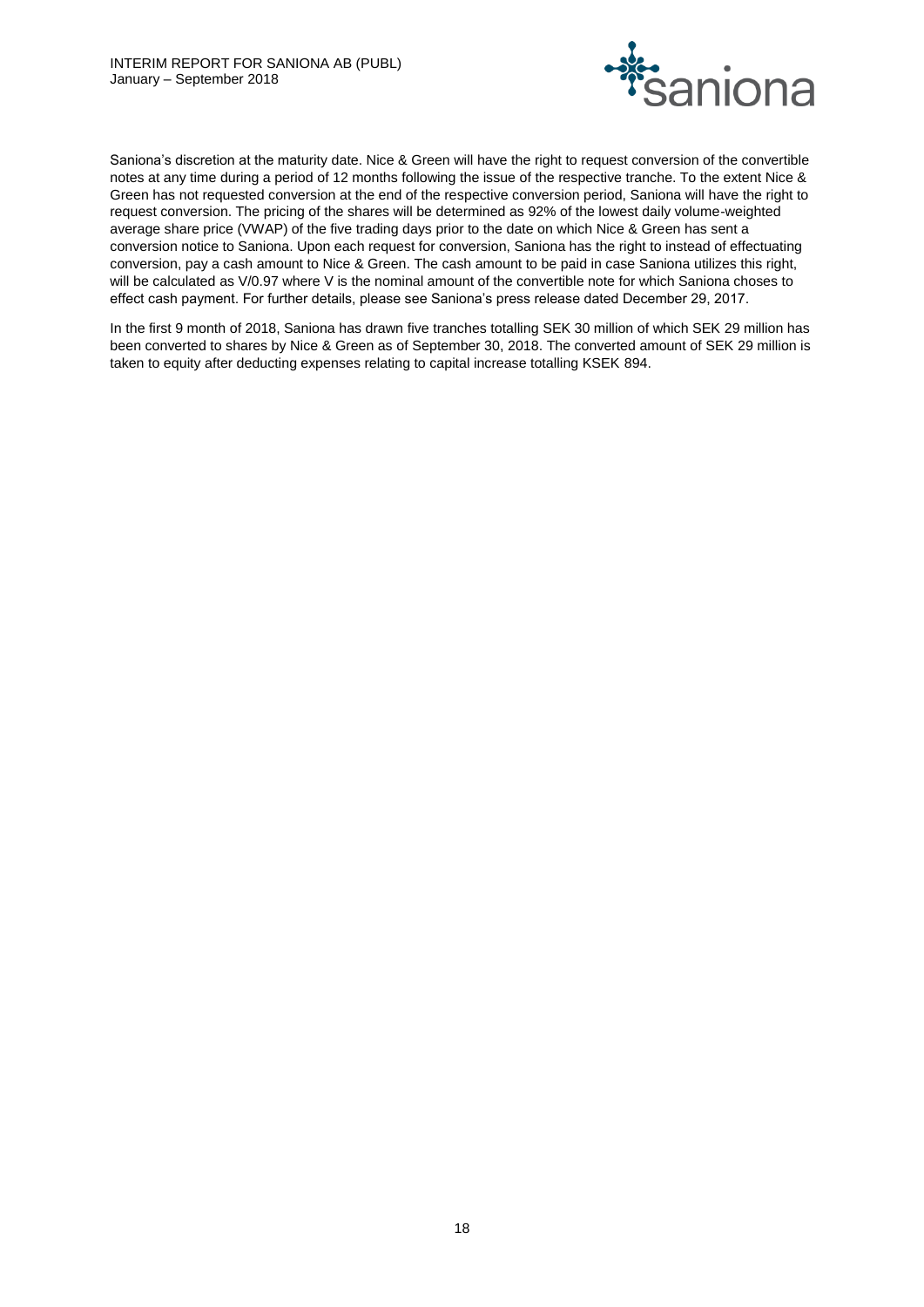

Saniona's discretion at the maturity date. Nice & Green will have the right to request conversion of the convertible notes at any time during a period of 12 months following the issue of the respective tranche. To the extent Nice & Green has not requested conversion at the end of the respective conversion period, Saniona will have the right to request conversion. The pricing of the shares will be determined as 92% of the lowest daily volume-weighted average share price (VWAP) of the five trading days prior to the date on which Nice & Green has sent a conversion notice to Saniona. Upon each request for conversion, Saniona has the right to instead of effectuating conversion, pay a cash amount to Nice & Green. The cash amount to be paid in case Saniona utilizes this right, will be calculated as V/0.97 where V is the nominal amount of the convertible note for which Saniona choses to effect cash payment. For further details, please see Saniona's press release dated December 29, 2017.

In the first 9 month of 2018, Saniona has drawn five tranches totalling SEK 30 million of which SEK 29 million has been converted to shares by Nice & Green as of September 30, 2018. The converted amount of SEK 29 million is taken to equity after deducting expenses relating to capital increase totalling KSEK 894.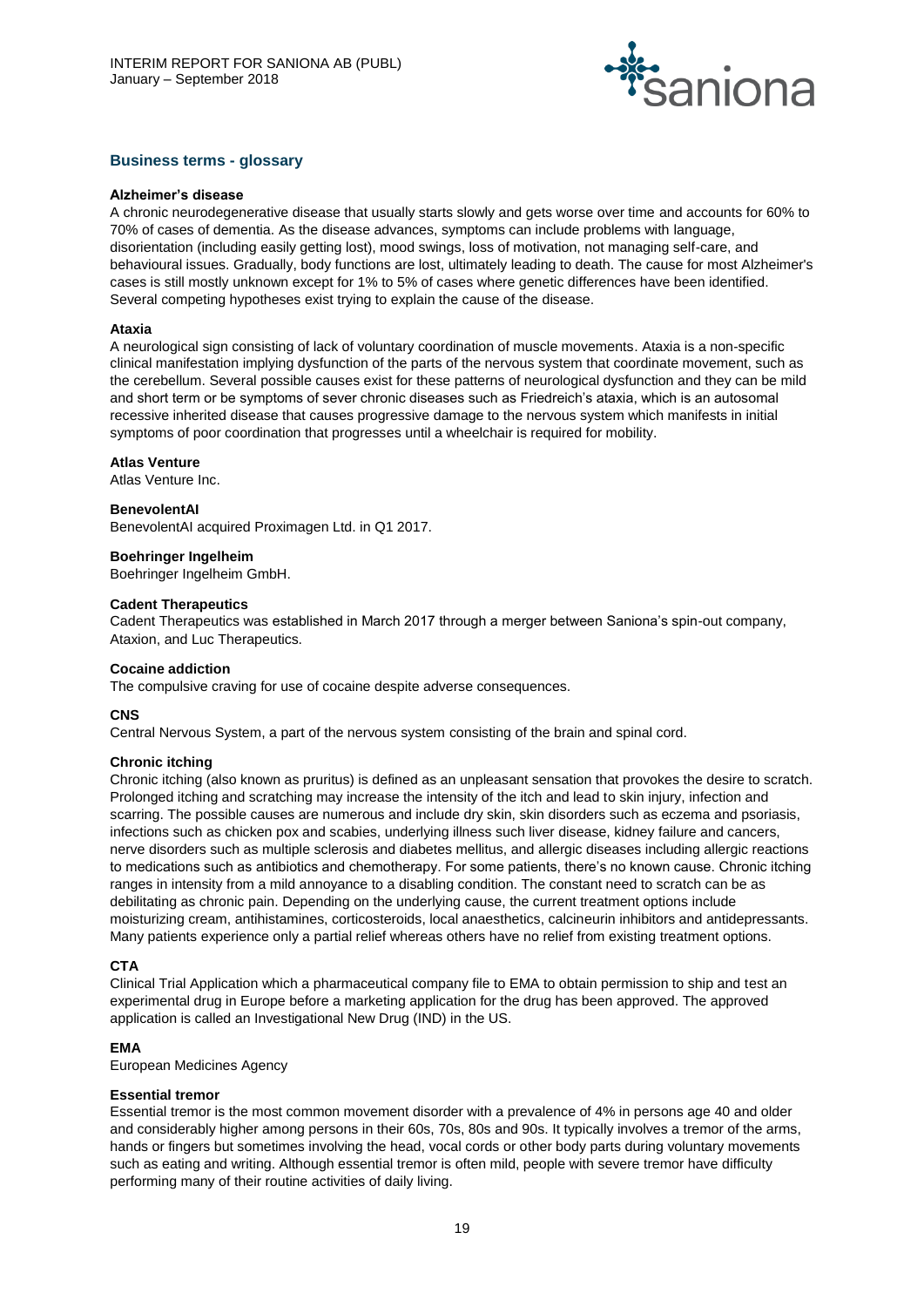

# **Business terms - glossary**

#### **Alzheimer's disease**

A chronic neurodegenerative disease that usually starts slowly and gets worse over time and accounts for 60% to 70% of cases of dementia. As the disease advances, symptoms can include problems with language, disorientation (including easily getting lost), mood swings, loss of motivation, not managing self-care, and behavioural issues. Gradually, body functions are lost, ultimately leading to death. The cause for most Alzheimer's cases is still mostly unknown except for 1% to 5% of cases where genetic differences have been identified. Several competing hypotheses exist trying to explain the cause of the disease.

#### **Ataxia**

A neurological sign consisting of lack of voluntary coordination of muscle movements. Ataxia is a non-specific clinical manifestation implying dysfunction of the parts of the nervous system that coordinate movement, such as the cerebellum. Several possible causes exist for these patterns of neurological dysfunction and they can be mild and short term or be symptoms of sever chronic diseases such as Friedreich's ataxia, which is an autosomal recessive inherited disease that causes progressive damage to the nervous system which manifests in initial symptoms of poor coordination that progresses until a wheelchair is required for mobility.

#### **Atlas Venture**

Atlas Venture Inc.

#### **BenevolentAI**

BenevolentAI acquired Proximagen Ltd. in Q1 2017.

#### **Boehringer Ingelheim**

Boehringer Ingelheim GmbH.

#### **Cadent Therapeutics**

Cadent Therapeutics was established in March 2017 through a merger between Saniona's spin-out company, Ataxion, and Luc Therapeutics.

#### **Cocaine addiction**

The compulsive craving for use of cocaine despite adverse consequences.

#### **CNS**

Central Nervous System, a part of the nervous system consisting of the brain and spinal cord.

#### **Chronic itching**

Chronic itching (also known as pruritus) is defined as an unpleasant sensation that provokes the desire to scratch. Prolonged itching and scratching may increase the intensity of the itch and lead to skin injury, infection and scarring. The possible causes are numerous and include dry skin, skin disorders such as eczema and psoriasis, infections such as chicken pox and scabies, underlying illness such liver disease, kidney failure and cancers, nerve disorders such as multiple sclerosis and diabetes mellitus, and allergic diseases including allergic reactions to medications such as antibiotics and chemotherapy. For some patients, there's no known cause. Chronic itching ranges in intensity from a mild annoyance to a disabling condition. The constant need to scratch can be as debilitating as chronic pain. Depending on the underlying cause, the current treatment options include moisturizing cream, antihistamines, corticosteroids, local anaesthetics, calcineurin inhibitors and antidepressants. Many patients experience only a partial relief whereas others have no relief from existing treatment options.

#### **CTA**

Clinical Trial Application which a pharmaceutical company file to EMA to obtain permission to ship and test an experimental drug in Europe before a marketing application for the drug has been approved. The approved application is called an Investigational New Drug (IND) in the US.

# **EMA**

European Medicines Agency

#### **Essential tremor**

Essential tremor is the most common movement disorder with a prevalence of 4% in persons age 40 and older and considerably higher among persons in their 60s, 70s, 80s and 90s. It typically involves a tremor of the arms, hands or fingers but sometimes involving the head, vocal cords or other body parts during voluntary movements such as eating and writing. Although essential tremor is often mild, people with severe tremor have difficulty performing many of their routine activities of daily living.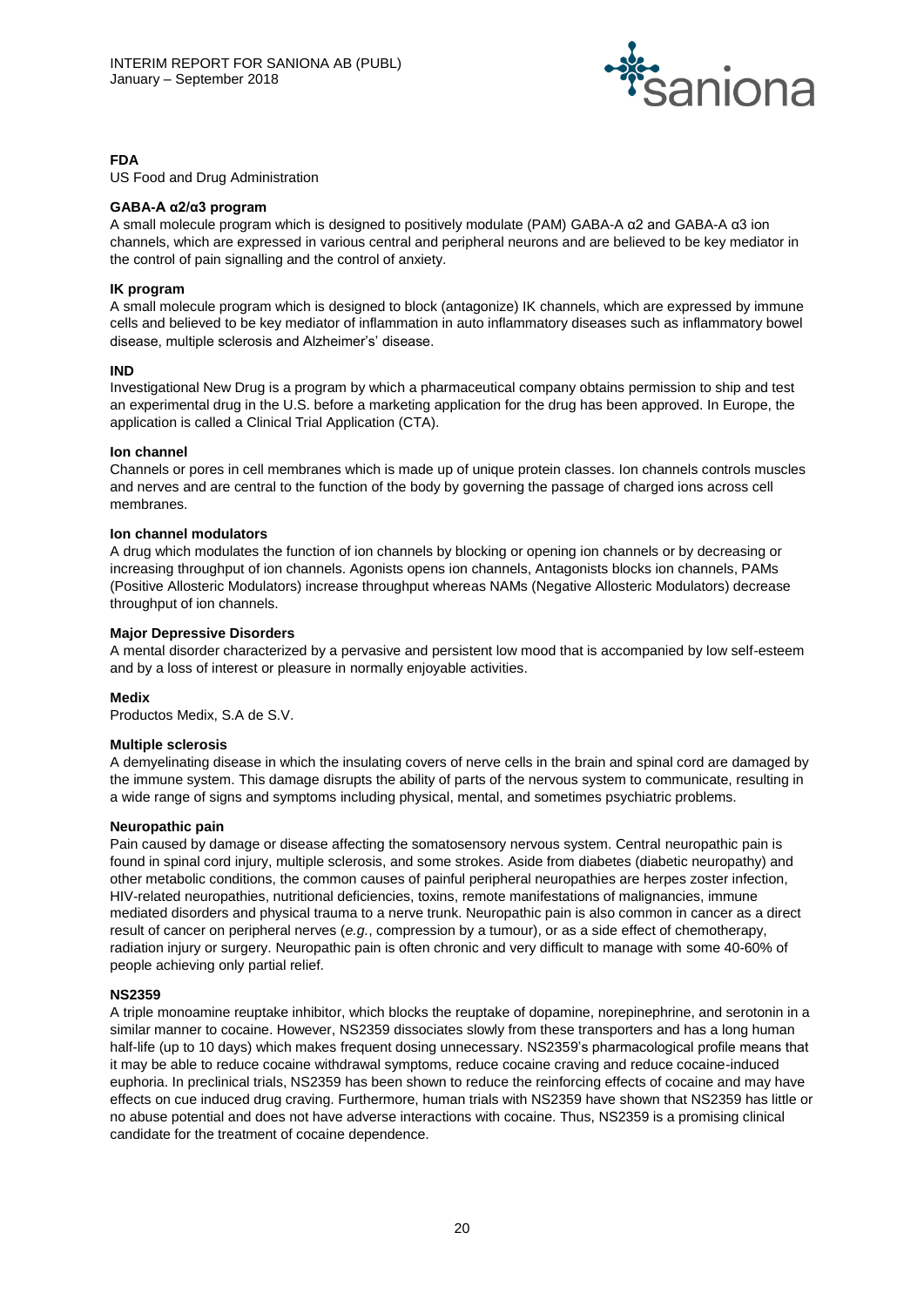

# **FDA**

US Food and Drug Administration

#### **GABA-A α2/α3 program**

A small molecule program which is designed to positively modulate (PAM) GABA-A α2 and GABA-A α3 ion channels, which are expressed in various central and peripheral neurons and are believed to be key mediator in the control of pain signalling and the control of anxiety.

# **IK program**

A small molecule program which is designed to block (antagonize) IK channels, which are expressed by immune cells and believed to be key mediator of inflammation in auto inflammatory diseases such as inflammatory bowel disease, multiple sclerosis and Alzheimer's' disease.

#### **IND**

Investigational New Drug is a program by which a pharmaceutical company obtains permission to ship and test an experimental drug in the U.S. before a marketing application for the drug has been approved. In Europe, the application is called a Clinical Trial Application (CTA).

#### **Ion channel**

Channels or pores in cell membranes which is made up of unique protein classes. Ion channels controls muscles and nerves and are central to the function of the body by governing the passage of charged ions across cell membranes.

#### **Ion channel modulators**

A drug which modulates the function of ion channels by blocking or opening ion channels or by decreasing or increasing throughput of ion channels. Agonists opens ion channels, Antagonists blocks ion channels, PAMs (Positive Allosteric Modulators) increase throughput whereas NAMs (Negative Allosteric Modulators) decrease throughput of ion channels.

#### **Major Depressive Disorders**

A mental disorder characterized by a pervasive and persistent low mood that is accompanied by low self-esteem and by a loss of interest or pleasure in normally enjoyable activities.

#### **Medix**

Productos Medix, S.A de S.V.

#### **Multiple sclerosis**

A demyelinating disease in which the insulating covers of nerve cells in the brain and spinal cord are damaged by the immune system. This damage disrupts the ability of parts of the nervous system to communicate, resulting in a wide range of signs and symptoms including physical, mental, and sometimes psychiatric problems.

#### **Neuropathic pain**

Pain caused by damage or disease affecting the somatosensory nervous system. Central neuropathic pain is found in spinal cord injury, multiple sclerosis, and some strokes. Aside from diabetes (diabetic neuropathy) and other metabolic conditions, the common causes of painful peripheral neuropathies are herpes zoster infection, HIV-related neuropathies, nutritional deficiencies, toxins, remote manifestations of malignancies, immune mediated disorders and physical trauma to a nerve trunk. Neuropathic pain is also common in cancer as a direct result of cancer on peripheral nerves (*e.g.*, compression by a tumour), or as a side effect of chemotherapy, radiation injury or surgery. Neuropathic pain is often chronic and very difficult to manage with some 40-60% of people achieving only partial relief.

#### **NS2359**

A triple monoamine reuptake inhibitor, which blocks the reuptake of dopamine, norepinephrine, and serotonin in a similar manner to cocaine. However, NS2359 dissociates slowly from these transporters and has a long human half-life (up to 10 days) which makes frequent dosing unnecessary. NS2359's pharmacological profile means that it may be able to reduce cocaine withdrawal symptoms, reduce cocaine craving and reduce cocaine-induced euphoria. In preclinical trials, NS2359 has been shown to reduce the reinforcing effects of cocaine and may have effects on cue induced drug craving. Furthermore, human trials with NS2359 have shown that NS2359 has little or no abuse potential and does not have adverse interactions with cocaine. Thus, NS2359 is a promising clinical candidate for the treatment of cocaine dependence.